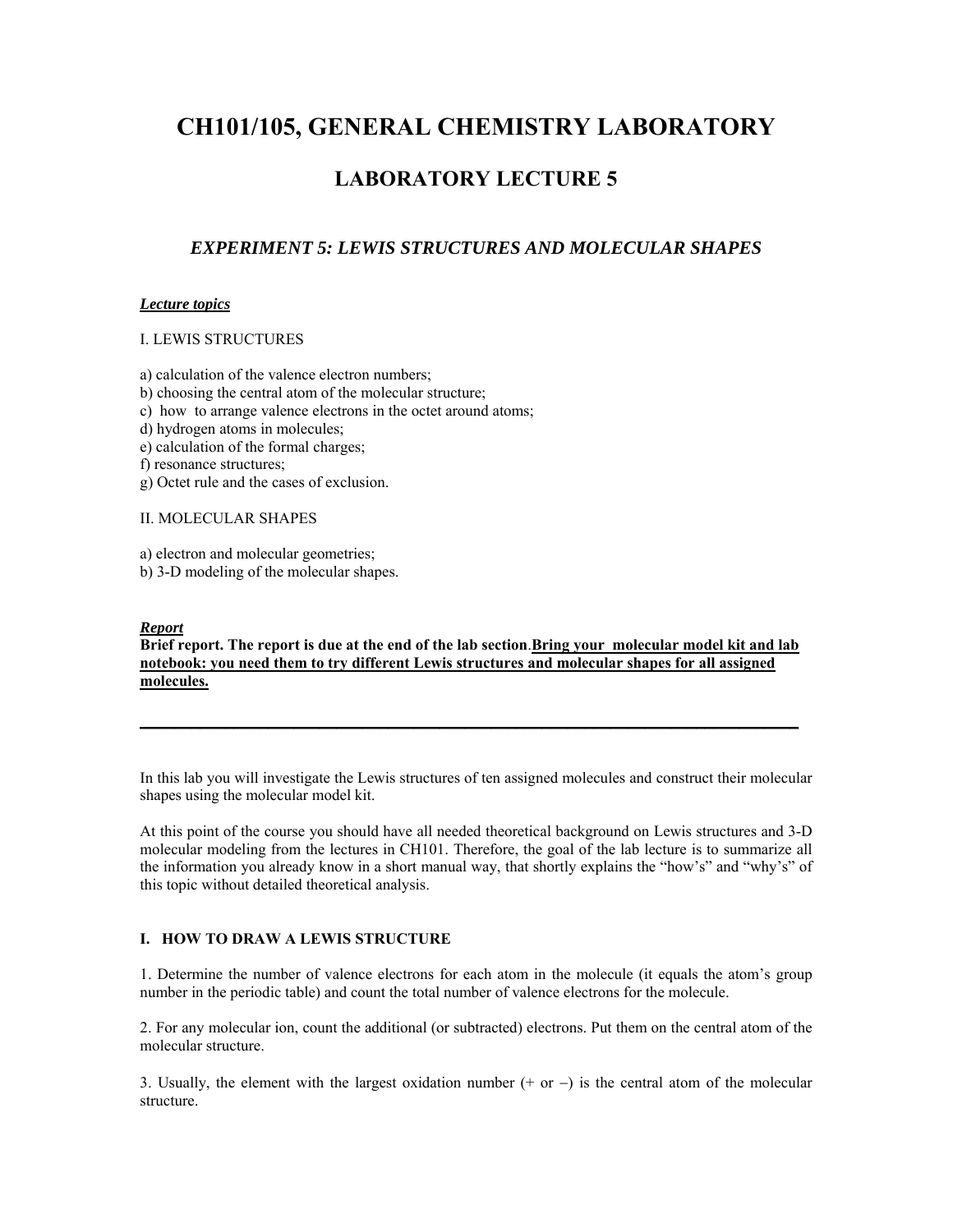# **CH101/105, GENERAL CHEMISTRY LABORATORY**

# **LABORATORY LECTURE 5**

# *EXPERIMENT 5: LEWIS STRUCTURES AND MOLECULAR SHAPES*

# *Lecture topics*

## I. LEWIS STRUCTURES

- a) calculation of the valence electron numbers;
- b) choosing the central atom of the molecular structure;
- c) how to arrange valence electrons in the octet around atoms;
- d) hydrogen atoms in molecules;
- e) calculation of the formal charges;
- f) resonance structures;
- g) Octet rule and the cases of exclusion.

## II. MOLECULAR SHAPES

- a) electron and molecular geometries;
- b) 3-D modeling of the molecular shapes.

### *Report*

**Brief report. The report is due at the end of the lab section**.**Bring your molecular model kit and lab notebook: you need them to try different Lewis structures and molecular shapes for all assigned molecules.**

 $\mathcal{L}_\mathcal{L} = \{ \mathcal{L}_\mathcal{L} = \{ \mathcal{L}_\mathcal{L} = \{ \mathcal{L}_\mathcal{L} = \{ \mathcal{L}_\mathcal{L} = \{ \mathcal{L}_\mathcal{L} = \{ \mathcal{L}_\mathcal{L} = \{ \mathcal{L}_\mathcal{L} = \{ \mathcal{L}_\mathcal{L} = \{ \mathcal{L}_\mathcal{L} = \{ \mathcal{L}_\mathcal{L} = \{ \mathcal{L}_\mathcal{L} = \{ \mathcal{L}_\mathcal{L} = \{ \mathcal{L}_\mathcal{L} = \{ \mathcal{L}_\mathcal{$ 

In this lab you will investigate the Lewis structures of ten assigned molecules and construct their molecular shapes using the molecular model kit.

At this point of the course you should have all needed theoretical background on Lewis structures and 3-D molecular modeling from the lectures in CH101. Therefore, the goal of the lab lecture is to summarize all the information you already know in a short manual way, that shortly explains the "how's" and "why's" of this topic without detailed theoretical analysis.

# **I. HOW TO DRAW A LEWIS STRUCTURE**

1. Determine the number of valence electrons for each atom in the molecule (it equals the atom's group number in the periodic table) and count the total number of valence electrons for the molecule.

2. For any molecular ion, count the additional (or subtracted) electrons. Put them on the central atom of the molecular structure.

3. Usually, the element with the largest oxidation number (+ or −) is the central atom of the molecular structure.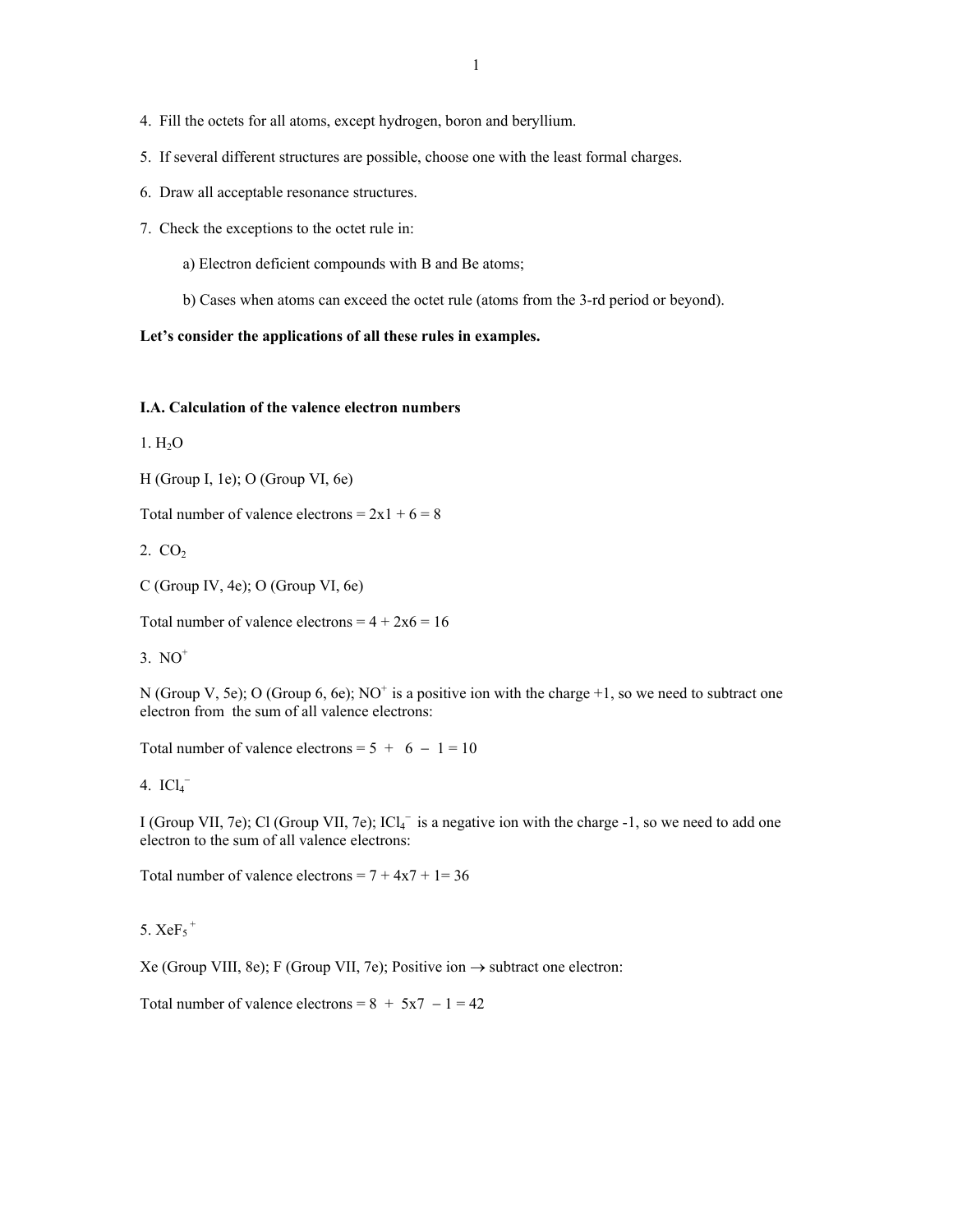- 4. Fill the octets for all atoms, except hydrogen, boron and beryllium.
- 5. If several different structures are possible, choose one with the least formal charges.
- 6. Draw all acceptable resonance structures.
- 7. Check the exceptions to the octet rule in:
	- a) Electron deficient compounds with B and Be atoms;
	- b) Cases when atoms can exceed the octet rule (atoms from the 3-rd period or beyond).

# **Let's consider the applications of all these rules in examples.**

# **I.A. Calculation of the valence electron numbers**

 $1. H<sub>2</sub>O$ 

H (Group I, 1e); O (Group VI, 6e)

Total number of valence electrons =  $2x1 + 6 = 8$ 

 $2. CO<sub>2</sub>$ 

C (Group IV, 4e); O (Group VI, 6e)

Total number of valence electrons =  $4 + 2x6 = 16$ 

 $3. NO<sup>+</sup>$ 

N (Group V, 5e); O (Group 6, 6e); NO<sup>+</sup> is a positive ion with the charge  $+1$ , so we need to subtract one electron from the sum of all valence electrons:

Total number of valence electrons =  $5 + 6 - 1 = 10$ 

# 4.  $ICl_4^-$

I (Group VII, 7e); Cl (Group VII, 7e); ICl<sub>4</sub> is a negative ion with the charge -1, so we need to add one electron to the sum of all valence electrons:

Total number of valence electrons =  $7 + 4x7 + 1 = 36$ 

5.  $XeF_5$ <sup>+</sup>

Xe (Group VIII, 8e); F (Group VII, 7e); Positive ion → subtract one electron:

Total number of valence electrons =  $8 + 5x7 - 1 = 42$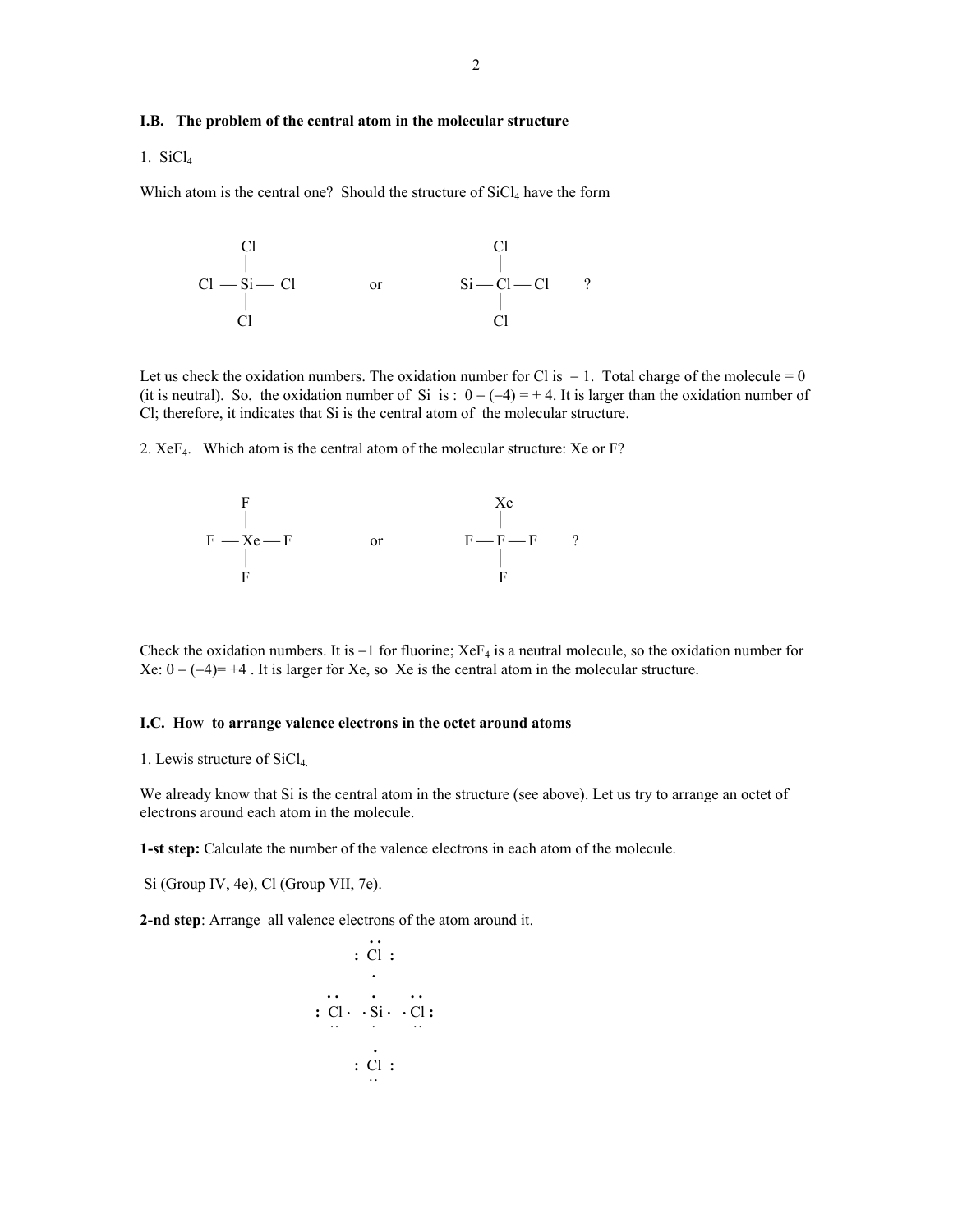### **I.B. The problem of the central atom in the molecular structure**

1. SiCl4

Which atom is the central one? Should the structure of  $SiCl<sub>4</sub>$  have the form

 Cl Cl ⏐ ⏐ Cl ⎯ Si ⎯ Cl or Si ⎯ Cl ⎯ Cl ? ⏐ ⏐ Cl Cl

Let us check the oxidation numbers. The oxidation number for Cl is  $-1$ . Total charge of the molecule = 0 (it is neutral). So, the oxidation number of Si is :  $0 - (-4) = +4$ . It is larger than the oxidation number of Cl; therefore, it indicates that Si is the central atom of the molecular structure.

2. XeF4. Which atom is the central atom of the molecular structure: Xe or F?



Check the oxidation numbers. It is  $-1$  for fluorine; Xe $F_4$  is a neutral molecule, so the oxidation number for Xe:  $0 - (-4) = +4$ . It is larger for Xe, so Xe is the central atom in the molecular structure.

#### **I.C. How to arrange valence electrons in the octet around atoms**

1. Lewis structure of SiCl4.

We already know that Si is the central atom in the structure (see above). Let us try to arrange an octet of electrons around each atom in the molecule.

**1-st step:** Calculate the number of the valence electrons in each atom of the molecule.

Si (Group IV, 4e), Cl (Group VII, 7e).

**2-nd step**: Arrange all valence electrons of the atom around it.

$$
\begin{array}{c}\n \cdot \cdot \cdot \\
 \cdot \cdot \cdot \\
 \cdot \cdot \cdot \\
 \cdot \cdot \cdot \cdot \cdot \\
 \cdot \cdot \cdot \\
 \cdot \cdot \cdot \\
 \cdot \cdot \cdot\n \end{array}
$$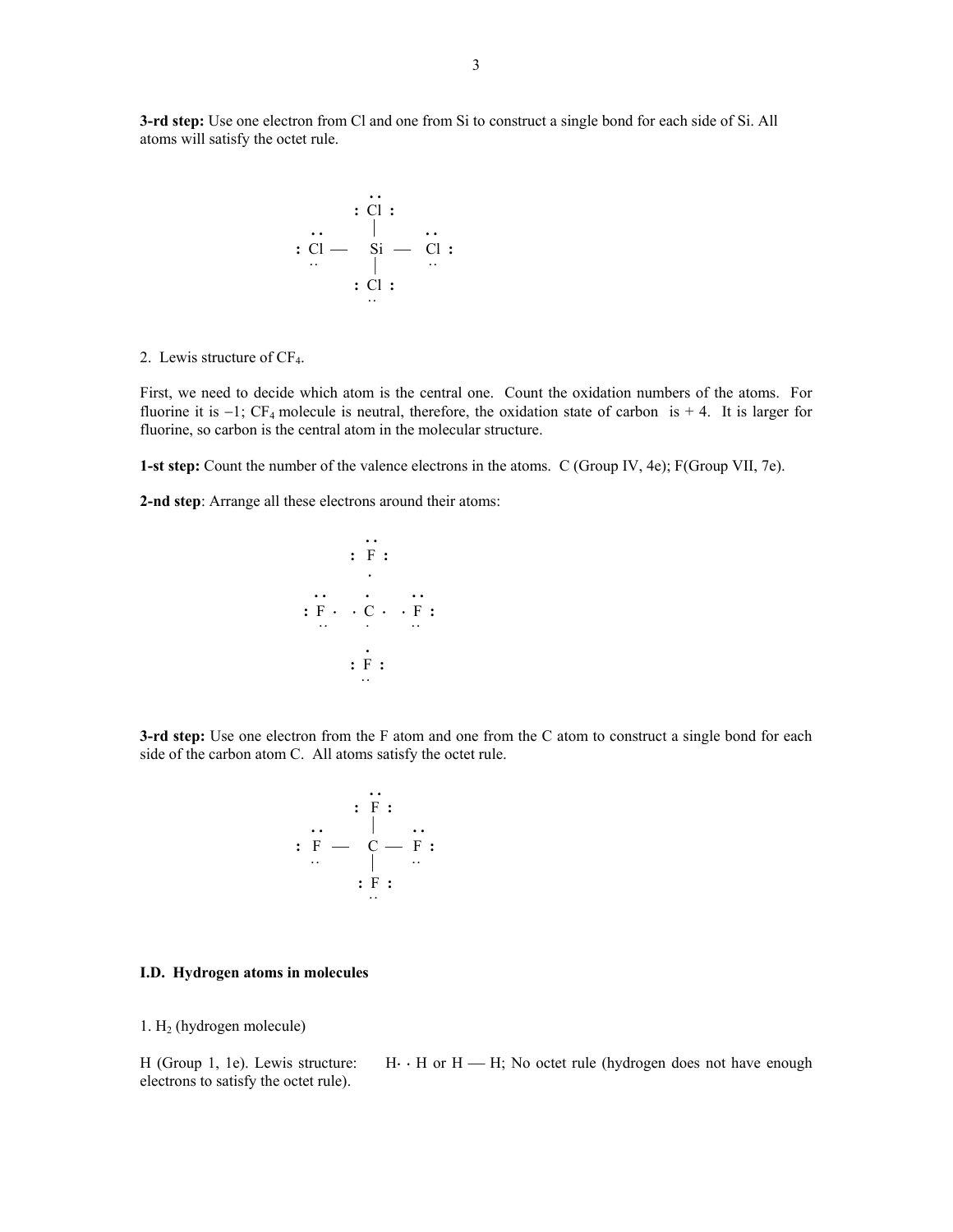**3-rd step:** Use one electron from Cl and one from Si to construct a single bond for each side of Si. All atoms will satisfy the octet rule.

$$
\begin{array}{c}\n \cdot \stackrel{\cdot \cdot}{\cdot} \\
 \cdot \stackrel{\cdot \cdot}{\cdot} \\
 \cdot \stackrel{\cdot \cdot}{\cdot} \\
 \cdot \stackrel{\cdot \cdot}{\cdot} \\
 \cdot \stackrel{\cdot \cdot}{\cdot} \\
 \cdot \stackrel{\cdot \cdot}{\cdot} \\
 \cdot \stackrel{\cdot \cdot}{\cdot} \\
 \cdot \stackrel{\cdot \cdot}{\cdot} \\
 \cdot \stackrel{\cdot \cdot}{\cdot} \\
 \cdot \stackrel{\cdot \cdot}{\cdot} \\
 \cdot \stackrel{\cdot \cdot}{\cdot} \\
 \cdot \stackrel{\cdot \cdot}{\cdot} \\
 \cdot \stackrel{\cdot \cdot}{\cdot} \\
 \cdot \stackrel{\cdot \cdot}{\cdot} \\
 \cdot \stackrel{\cdot \cdot}{\cdot} \\
 \cdot \stackrel{\cdot \cdot}{\cdot} \\
 \cdot \stackrel{\cdot \cdot}{\cdot} \\
 \cdot \stackrel{\cdot \cdot}{\cdot} \\
 \cdot \stackrel{\cdot \cdot}{\cdot} \\
 \cdot \stackrel{\cdot \cdot}{\cdot} \\
 \cdot \stackrel{\cdot \cdot}{\cdot} \\
 \cdot \stackrel{\cdot \cdot}{\cdot} \\
 \cdot \stackrel{\cdot \cdot}{\cdot} \\
 \cdot \stackrel{\cdot \cdot}{\cdot} \\
 \cdot \stackrel{\cdot \cdot}{\cdot} \\
 \cdot \stackrel{\cdot \cdot}{\cdot} \\
 \cdot \stackrel{\cdot \cdot}{\cdot} \\
 \cdot \stackrel{\cdot \cdot}{\cdot} \\
 \cdot \stackrel{\cdot \cdot}{\cdot} \\
 \cdot \stackrel{\cdot \cdot}{\cdot} \\
 \cdot \stackrel{\cdot \cdot}{\cdot} \\
 \cdot \stackrel{\cdot \cdot}{\cdot} \\
 \cdot \stackrel{\cdot \cdot}{\cdot} \\
 \cdot \stackrel{\cdot \cdot}{\cdot} \\
 \cdot \stackrel{\cdot \cdot}{\cdot} \\
 \cdot \stackrel{\cdot \cdot}{\cdot} \\
 \cdot \stackrel{\cdot \cdot}{\cdot} \\
 \cdot \stackrel{\cdot \cdot}{\cdot} \\
 \cdot \stackrel{\cdot \cdot}{\cdot} \\
 \cdot \stackrel{\cdot \cdot}{\cdot} \\
 \cdot \stackrel{\cdot \cdot}{\cdot} \\
 \cdot \stackrel{\cdot \cdot}{\cdot} \\
 \cdot \stackrel{\cdot \cdot}{\cdot} \\
 \cdot \stackrel{\cdot \cdot}{\cdot} \\
 \cdot \stackrel{\cdot \cdot}{\cdot} \\
 \cdot \stackrel{\cdot \cdot}{\cdot} \\
 \cdot \stackrel{\cdot \cdot}{\cdot} \\
 \cdot \stackrel{\cdot \cdot}{\cdot} \\
 \cdot \stackrel{\cdot \cdot}{\cdot} \\
 \cdot \stackrel{\cdot \cdot}{\cdot} \\
 \cdot \stackrel{\cdot \cdot}{\cdot} \\
 \cdot \stackrel{\cdot \cdot}{\cdot} \\
 \cdot \stackrel{\cdot \cdot}{\cdot} \\
 \cdot \stackrel{\cdot \cdot}{
$$

2. Lewis structure of  $CF_4$ .

First, we need to decide which atom is the central one. Count the oxidation numbers of the atoms. For fluorine it is −1; CF4 molecule is neutral, therefore, the oxidation state of carbon is + 4. It is larger for fluorine, so carbon is the central atom in the molecular structure.

**1-st step:** Count the number of the valence electrons in the atoms. C (Group IV, 4e); F(Group VII, 7e).

**2-nd step**: Arrange all these electrons around their atoms:

 **. . :** F **:**  <sup>⋅</sup> **. . . . . :** F <sup>⋅</sup><sup>⋅</sup> C <sup>⋅</sup><sup>⋅</sup> F **: . . . . . . :** F **: . .**

**3-rd step:** Use one electron from the F atom and one from the C atom to construct a single bond for each side of the carbon atom C. All atoms satisfy the octet rule.

$$
\begin{array}{c}\n \cdot \cdot \cdot \\
 \cdot \cdot \cdot F = \cdot \\
 \cdot \cdot F = \cdot \\
 \cdot \cdot F = \cdot \\
 \cdot \cdot F = \cdot \\
 \cdot \cdot \cdot\n \end{array}
$$

#### **I.D. Hydrogen atoms in molecules**

1. H2 (hydrogen molecule)

H (Group 1, 1e). Lewis structure:  $H \cdot H$  or  $H \rightarrow H$ ; No octet rule (hydrogen does not have enough electrons to satisfy the octet rule).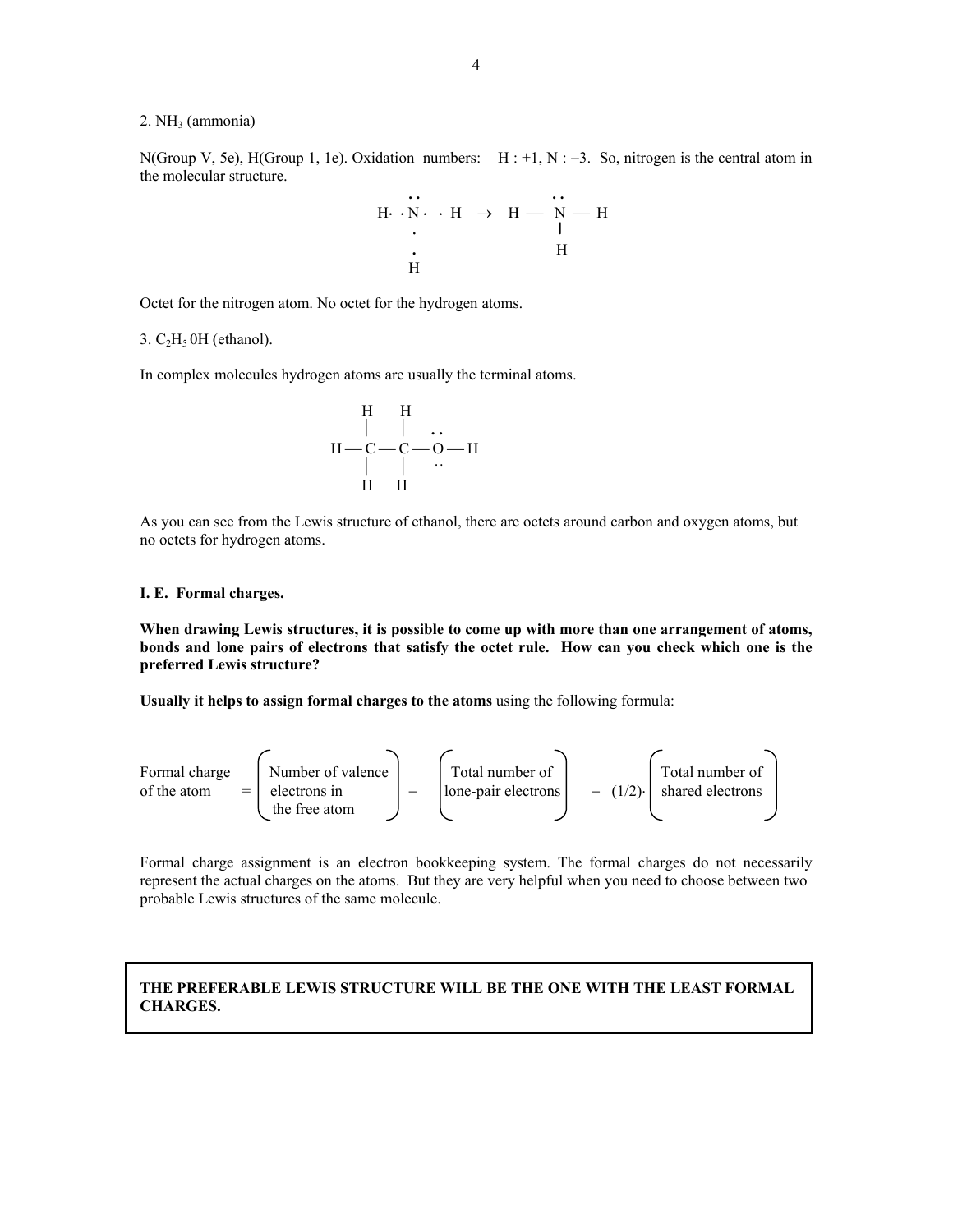#### $2. NH<sub>3</sub>$  (ammonia)

N(Group V, 5e), H(Group 1, 1e). Oxidation numbers: H : +1, N : −3. So, nitrogen is the central atom in the molecular structure.

$$
\begin{array}{cccc}\n & \cdots & \cdots & \cdots \\
 & \cdots \cdot & \cdots & \cdots & \cdots \\
 & \ddots & \cdots & \cdots & \cdots \\
 & \ddots & \cdots & \cdots & \cdots \\
 & \cdots & \cdots & \cdots & \cdots \\
 & \cdots & \cdots & \cdots & \cdots\n\end{array}
$$

Octet for the nitrogen atom. No octet for the hydrogen atoms.

#### 3.  $C_2H_5$  OH (ethanol).

In complex molecules hydrogen atoms are usually the terminal atoms.

$$
\begin{array}{c|c}\n & H & H \\
 & | & | & \dots \\
 & H-C-C-O-H \\
 & | & | & \dots \\
 & H & H\n\end{array}
$$

As you can see from the Lewis structure of ethanol, there are octets around carbon and oxygen atoms, but no octets for hydrogen atoms.

#### **I. E. Formal charges.**

**When drawing Lewis structures, it is possible to come up with more than one arrangement of atoms, bonds and lone pairs of electrons that satisfy the octet rule. How can you check which one is the preferred Lewis structure?** 

**Usually it helps to assign formal charges to the atoms** using the following formula:



Formal charge assignment is an electron bookkeeping system. The formal charges do not necessarily represent the actual charges on the atoms. But they are very helpful when you need to choose between two probable Lewis structures of the same molecule.

# **THE PREFERABLE LEWIS STRUCTURE WILL BE THE ONE WITH THE LEAST FORMAL CHARGES.**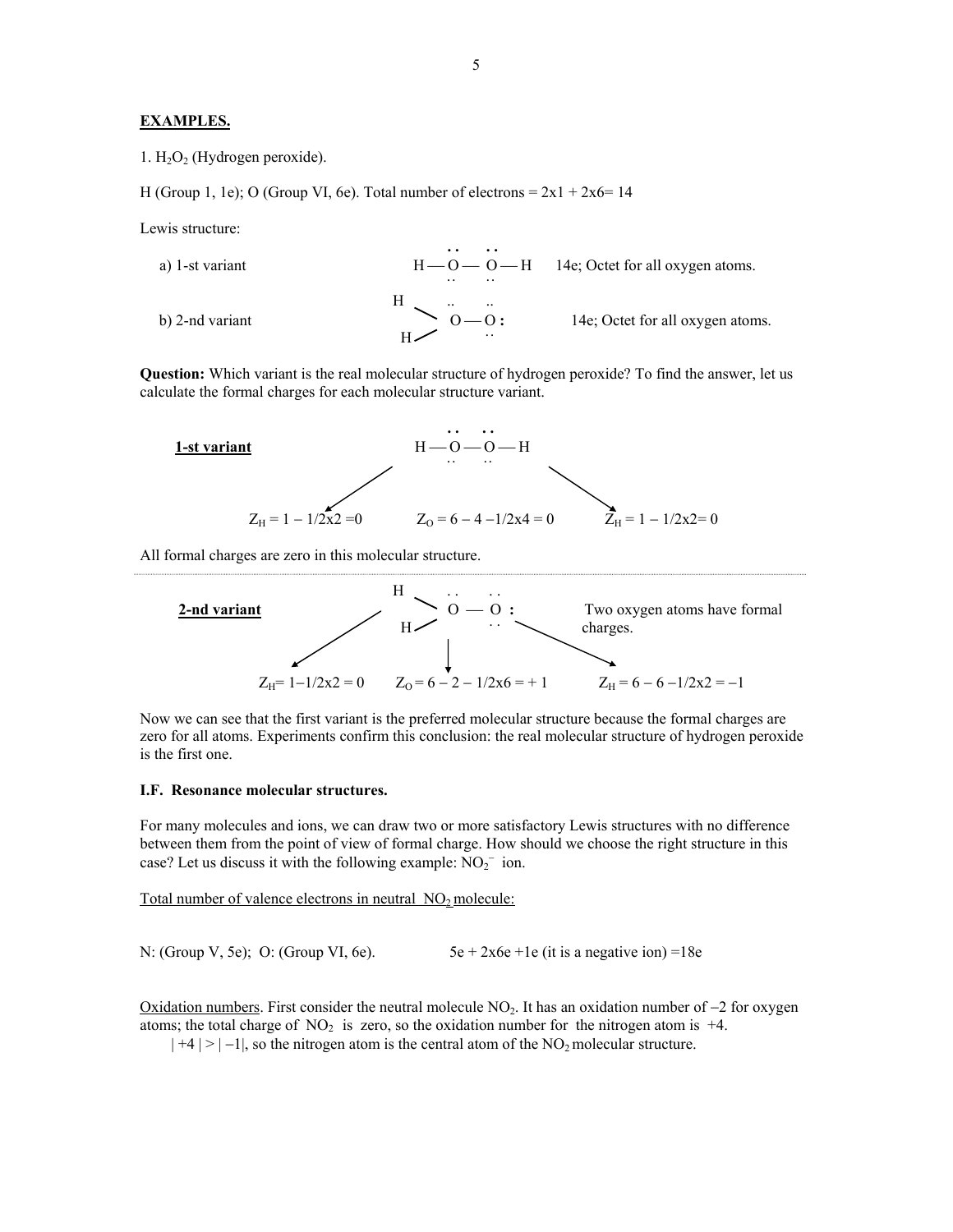### **EXAMPLES.**

1.  $H_2O_2$  (Hydrogen peroxide).

H (Group 1, 1e); O (Group VI, 6e). Total number of electrons =  $2x1 + 2x6 = 14$ 

Lewis structure:

.



**Question:** Which variant is the real molecular structure of hydrogen peroxide? To find the answer, let us calculate the formal charges for each molecular structure variant.



All formal charges are zero in this molecular structure.



Now we can see that the first variant is the preferred molecular structure because the formal charges are zero for all atoms. Experiments confirm this conclusion: the real molecular structure of hydrogen peroxide is the first one.

#### **I.F. Resonance molecular structures.**

For many molecules and ions, we can draw two or more satisfactory Lewis structures with no difference between them from the point of view of formal charge. How should we choose the right structure in this case? Let us discuss it with the following example:  $NO_2^-$  ion.

Total number of valence electrons in neutral NO<sub>2</sub> molecule:

N: (Group V, 5e); O: (Group VI, 6e).  $5e + 2x6e + 1e$  (it is a negative ion) =18e

Oxidation numbers. First consider the neutral molecule NO<sub>2</sub>. It has an oxidation number of −2 for oxygen atoms; the total charge of  $NO<sub>2</sub>$  is zero, so the oxidation number for the nitrogen atom is +4.

 $|+4| > |-1|$ , so the nitrogen atom is the central atom of the NO<sub>2</sub> molecular structure.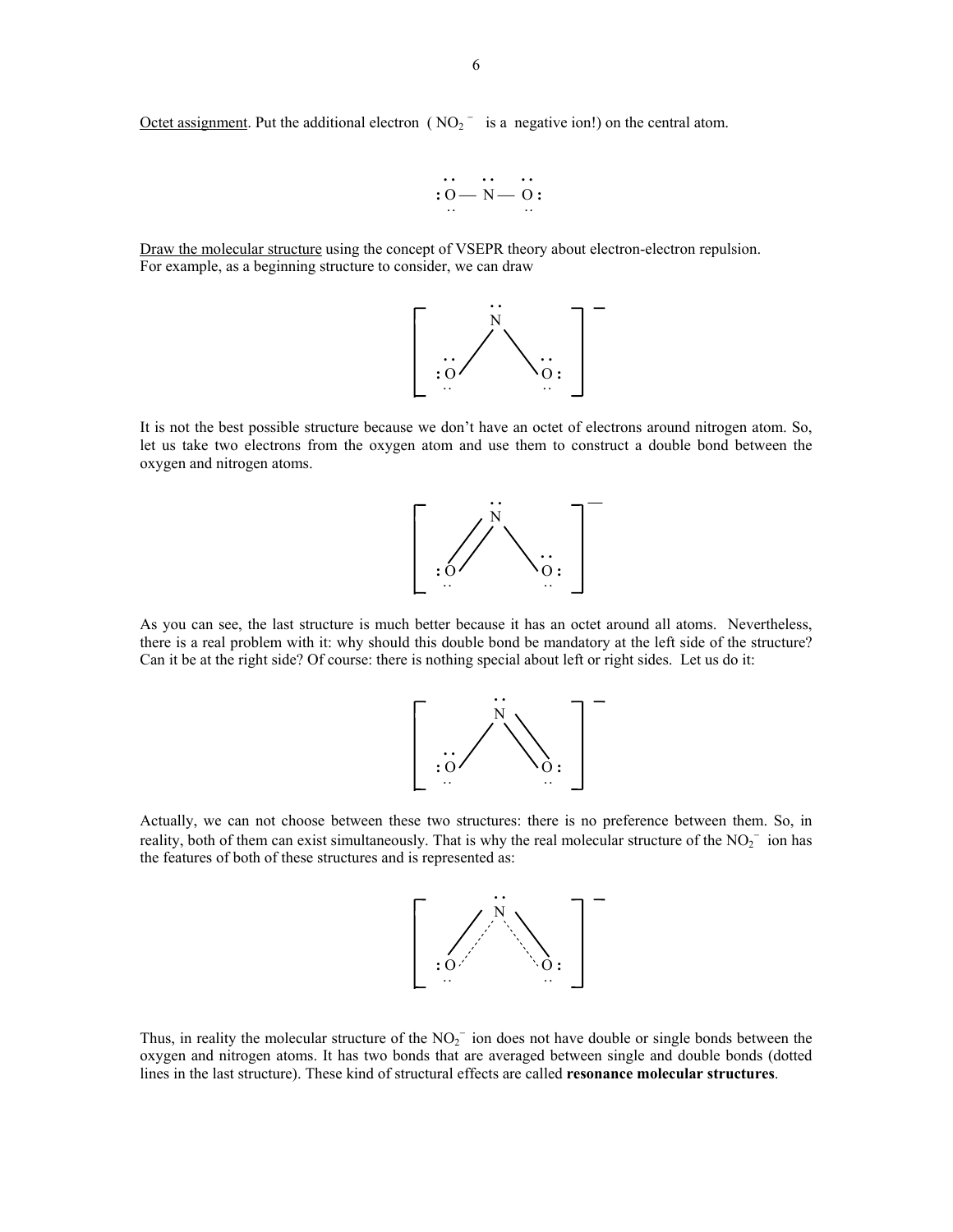Octet assignment. Put the additional electron ( $NO_2$ <sup>-</sup> is a negative ion!) on the central atom.



Draw the molecular structure using the concept of VSEPR theory about electron-electron repulsion. For example, as a beginning structure to consider, we can draw



It is not the best possible structure because we don't have an octet of electrons around nitrogen atom. So, let us take two electrons from the oxygen atom and use them to construct a double bond between the oxygen and nitrogen atoms.



As you can see, the last structure is much better because it has an octet around all atoms. Nevertheless, there is a real problem with it: why should this double bond be mandatory at the left side of the structure? Can it be at the right side? Of course: there is nothing special about left or right sides. Let us do it:



Actually, we can not choose between these two structures: there is no preference between them. So, in reality, both of them can exist simultaneously. That is why the real molecular structure of the  $NO_2^-$  ion has the features of both of these structures and is represented as:



Thus, in reality the molecular structure of the  $NO<sub>2</sub><sup>-</sup>$  ion does not have double or single bonds between the oxygen and nitrogen atoms. It has two bonds that are averaged between single and double bonds (dotted lines in the last structure). These kind of structural effects are called **resonance molecular structures**.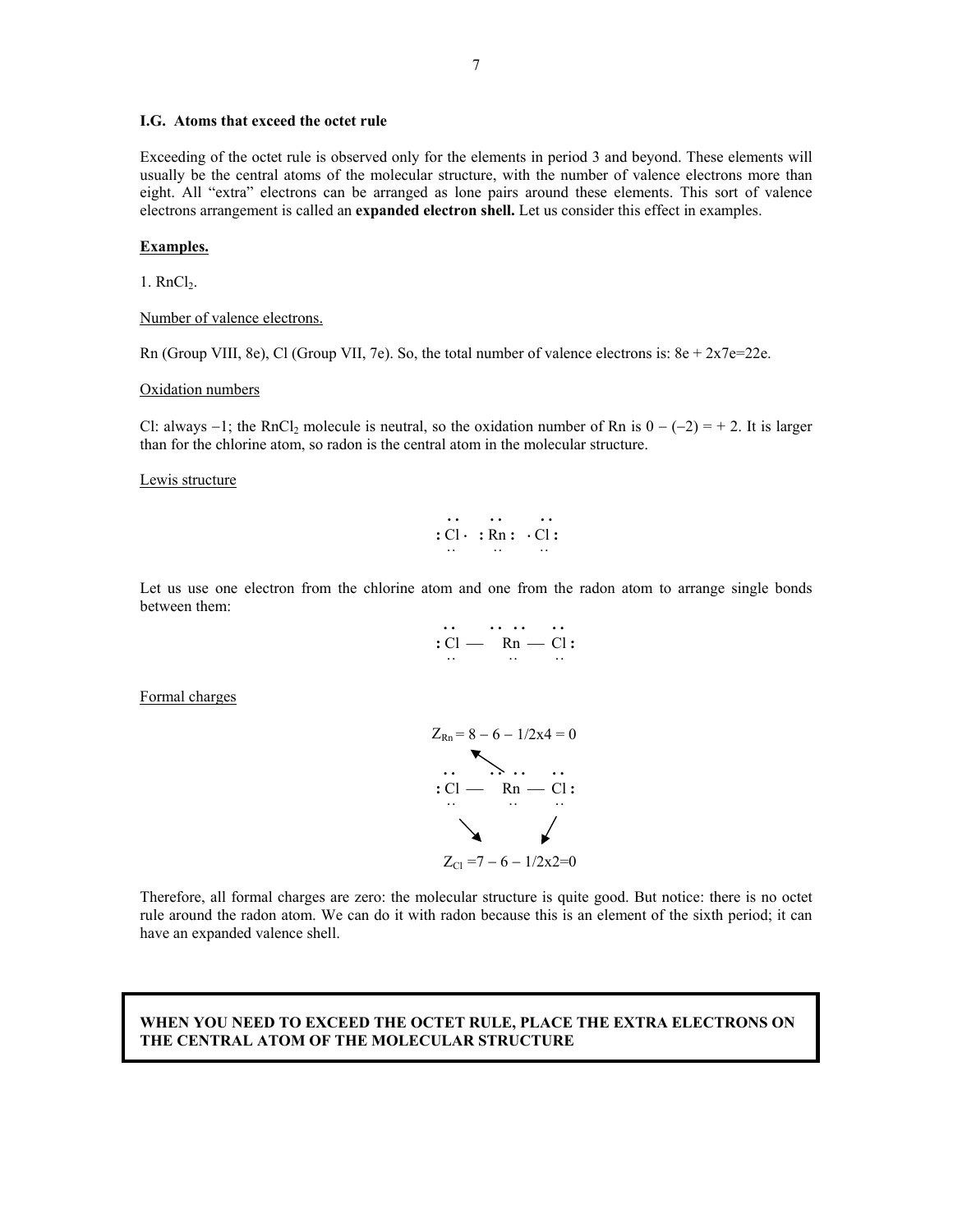### **I.G. Atoms that exceed the octet rule**

Exceeding of the octet rule is observed only for the elements in period 3 and beyond. These elements will usually be the central atoms of the molecular structure, with the number of valence electrons more than eight. All "extra" electrons can be arranged as lone pairs around these elements. This sort of valence electrons arrangement is called an **expanded electron shell.** Let us consider this effect in examples.

### **Examples.**

 $1.$  RnCl<sub>2</sub>.

Number of valence electrons.

Rn (Group VIII, 8e), Cl (Group VII, 7e). So, the total number of valence electrons is:  $8e + 2x7e = 22e$ .

#### Oxidation numbers

Cl: always  $-1$ ; the RnCl<sub>2</sub> molecule is neutral, so the oxidation number of Rn is  $0 - (-2) = +2$ . It is larger than for the chlorine atom, so radon is the central atom in the molecular structure.

Lewis structure

$$
\begin{array}{ccc}\n\cdots & \cdots & \cdots \\
\vdots & \vdots & \ddots & \vdots \\
\vdots & \vdots & \ddots & \vdots\n\end{array}
$$

Let us use one electron from the chlorine atom and one from the radon atom to arrange single bonds between them:

$$
C1 - \frac{1}{2} \cdot \frac{1}{2} \cdot \frac{1}{2} \cdot \frac{1}{2} \cdot \frac{1}{2} \cdot \frac{1}{2} \cdot \frac{1}{2} \cdot \frac{1}{2} \cdot \frac{1}{2} \cdot \frac{1}{2} \cdot \frac{1}{2} \cdot \frac{1}{2} \cdot \frac{1}{2} \cdot \frac{1}{2} \cdot \frac{1}{2} \cdot \frac{1}{2} \cdot \frac{1}{2} \cdot \frac{1}{2} \cdot \frac{1}{2} \cdot \frac{1}{2} \cdot \frac{1}{2} \cdot \frac{1}{2} \cdot \frac{1}{2} \cdot \frac{1}{2} \cdot \frac{1}{2} \cdot \frac{1}{2} \cdot \frac{1}{2} \cdot \frac{1}{2} \cdot \frac{1}{2} \cdot \frac{1}{2} \cdot \frac{1}{2} \cdot \frac{1}{2} \cdot \frac{1}{2} \cdot \frac{1}{2} \cdot \frac{1}{2} \cdot \frac{1}{2} \cdot \frac{1}{2} \cdot \frac{1}{2} \cdot \frac{1}{2} \cdot \frac{1}{2} \cdot \frac{1}{2} \cdot \frac{1}{2} \cdot \frac{1}{2} \cdot \frac{1}{2} \cdot \frac{1}{2} \cdot \frac{1}{2} \cdot \frac{1}{2} \cdot \frac{1}{2} \cdot \frac{1}{2} \cdot \frac{1}{2} \cdot \frac{1}{2} \cdot \frac{1}{2} \cdot \frac{1}{2} \cdot \frac{1}{2} \cdot \frac{1}{2} \cdot \frac{1}{2} \cdot \frac{1}{2} \cdot \frac{1}{2} \cdot \frac{1}{2} \cdot \frac{1}{2} \cdot \frac{1}{2} \cdot \frac{1}{2} \cdot \frac{1}{2} \cdot \frac{1}{2} \cdot \frac{1}{2} \cdot \frac{1}{2} \cdot \frac{1}{2} \cdot \frac{1}{2} \cdot \frac{1}{2} \cdot \frac{1}{2} \cdot \frac{1}{2} \cdot \frac{1}{2} \cdot \frac{1}{2} \cdot \frac{1}{2} \cdot \frac{1}{2} \cdot \frac{1}{2} \cdot \frac{1}{2} \cdot \frac{1}{2} \cdot \frac{1}{2} \cdot \frac{1}{2} \cdot \frac{1}{2} \cdot \frac{1}{2} \cdot \frac{1}{2} \cdot \frac{1}{2} \cdot
$$

Formal charges



Therefore, all formal charges are zero: the molecular structure is quite good. But notice: there is no octet rule around the radon atom. We can do it with radon because this is an element of the sixth period; it can have an expanded valence shell.

## **WHEN YOU NEED TO EXCEED THE OCTET RULE, PLACE THE EXTRA ELECTRONS ON THE CENTRAL ATOM OF THE MOLECULAR STRUCTURE**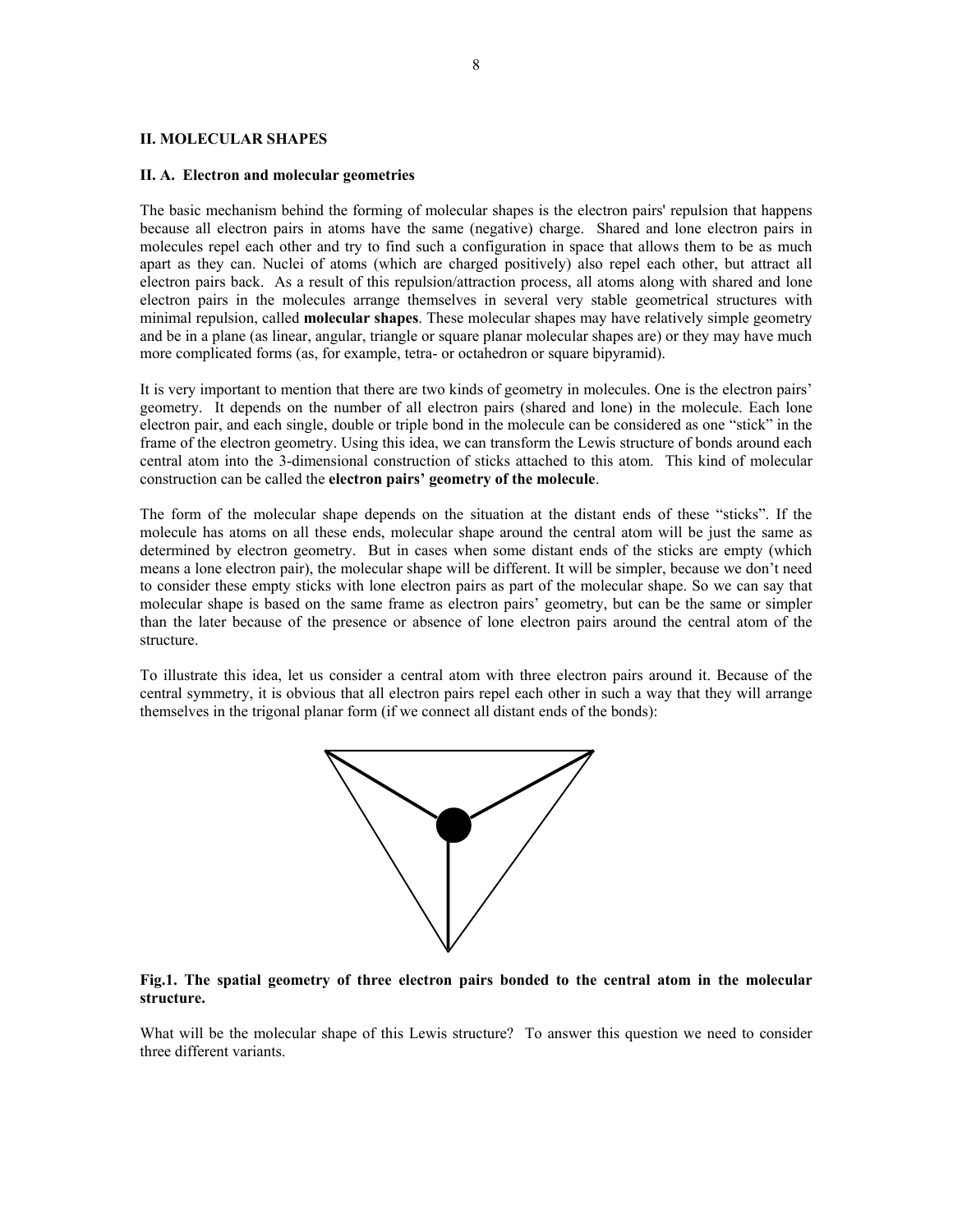#### **II. MOLECULAR SHAPES**

#### **II. A. Electron and molecular geometries**

The basic mechanism behind the forming of molecular shapes is the electron pairs' repulsion that happens because all electron pairs in atoms have the same (negative) charge. Shared and lone electron pairs in molecules repel each other and try to find such a configuration in space that allows them to be as much apart as they can. Nuclei of atoms (which are charged positively) also repel each other, but attract all electron pairs back. As a result of this repulsion/attraction process, all atoms along with shared and lone electron pairs in the molecules arrange themselves in several very stable geometrical structures with minimal repulsion, called **molecular shapes**. These molecular shapes may have relatively simple geometry and be in a plane (as linear, angular, triangle or square planar molecular shapes are) or they may have much more complicated forms (as, for example, tetra- or octahedron or square bipyramid).

It is very important to mention that there are two kinds of geometry in molecules. One is the electron pairs' geometry. It depends on the number of all electron pairs (shared and lone) in the molecule. Each lone electron pair, and each single, double or triple bond in the molecule can be considered as one "stick" in the frame of the electron geometry. Using this idea, we can transform the Lewis structure of bonds around each central atom into the 3-dimensional construction of sticks attached to this atom. This kind of molecular construction can be called the **electron pairs' geometry of the molecule**.

The form of the molecular shape depends on the situation at the distant ends of these "sticks". If the molecule has atoms on all these ends, molecular shape around the central atom will be just the same as determined by electron geometry. But in cases when some distant ends of the sticks are empty (which means a lone electron pair), the molecular shape will be different. It will be simpler, because we don't need to consider these empty sticks with lone electron pairs as part of the molecular shape. So we can say that molecular shape is based on the same frame as electron pairs' geometry, but can be the same or simpler than the later because of the presence or absence of lone electron pairs around the central atom of the structure.

To illustrate this idea, let us consider a central atom with three electron pairs around it. Because of the central symmetry, it is obvious that all electron pairs repel each other in such a way that they will arrange themselves in the trigonal planar form (if we connect all distant ends of the bonds):



# **Fig.1. The spatial geometry of three electron pairs bonded to the central atom in the molecular structure.**

What will be the molecular shape of this Lewis structure? To answer this question we need to consider three different variants.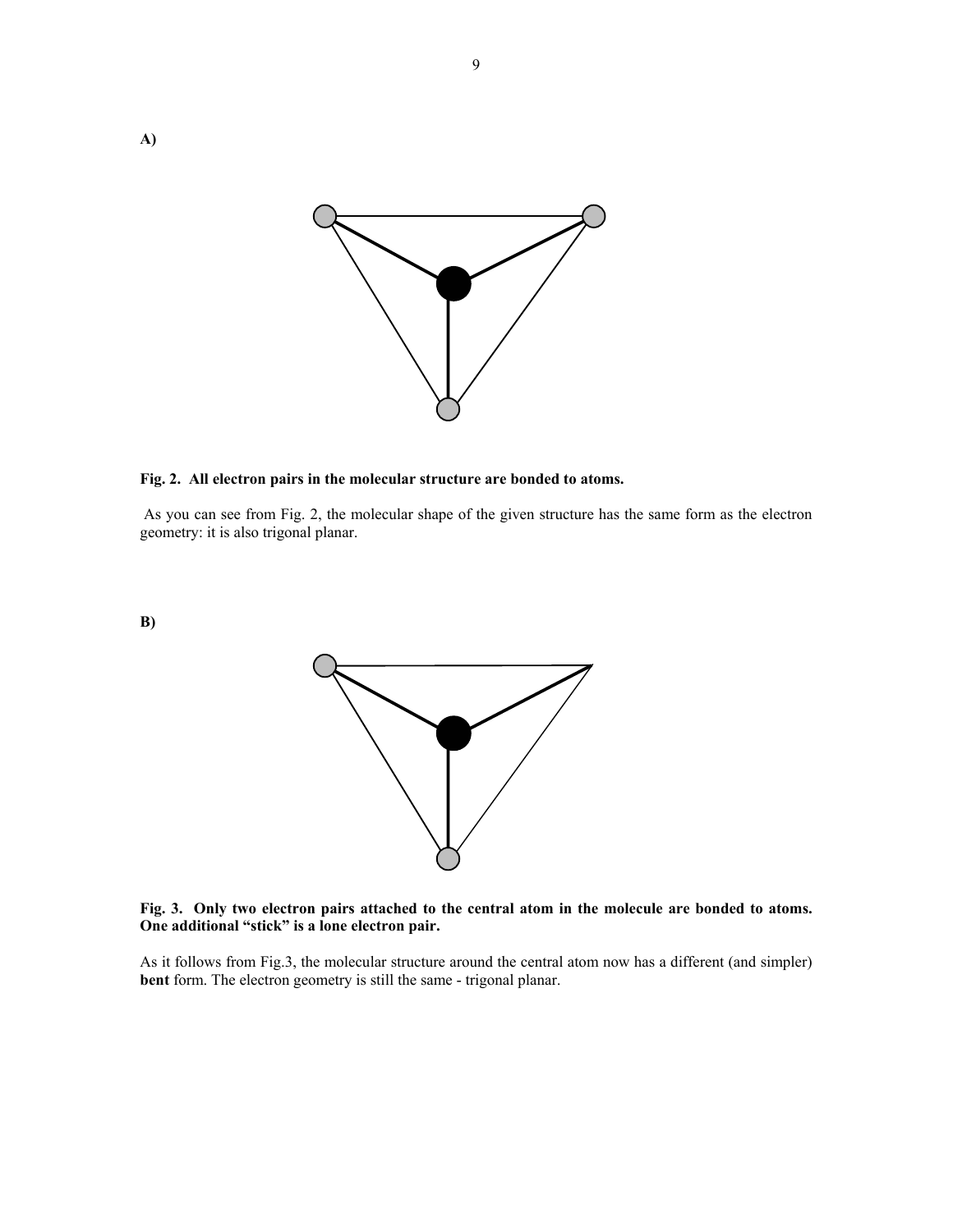

# **Fig. 2. All electron pairs in the molecular structure are bonded to atoms.**

 As you can see from Fig. 2, the molecular shape of the given structure has the same form as the electron geometry: it is also trigonal planar.

**B)** 



**Fig. 3. Only two electron pairs attached to the central atom in the molecule are bonded to atoms. One additional "stick" is a lone electron pair.** 

As it follows from Fig.3, the molecular structure around the central atom now has a different (and simpler) **bent** form. The electron geometry is still the same - trigonal planar.

9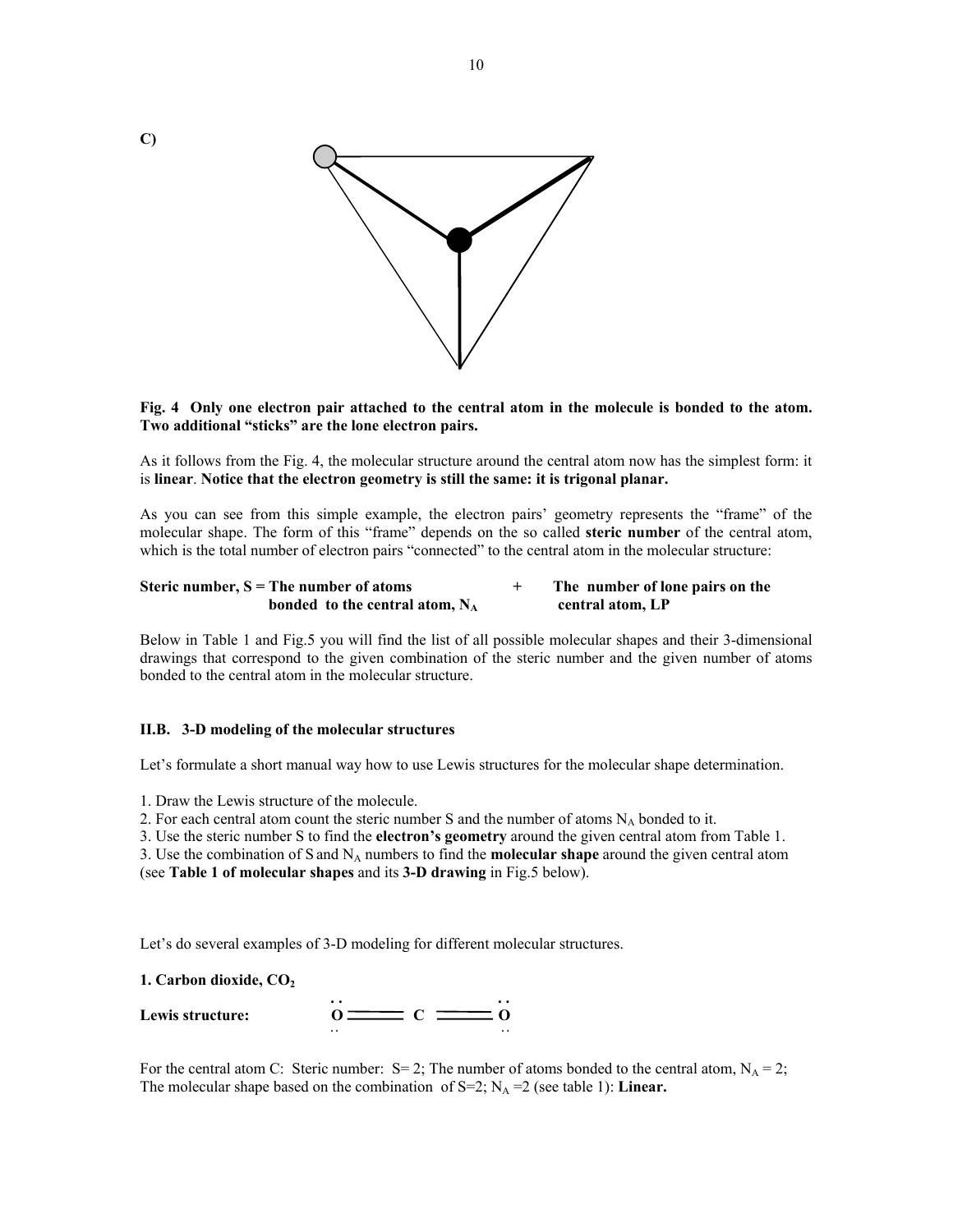

10

### **Fig. 4 Only one electron pair attached to the central atom in the molecule is bonded to the atom. Two additional "sticks" are the lone electron pairs.**

As it follows from the Fig. 4, the molecular structure around the central atom now has the simplest form: it is **linear**. **Notice that the electron geometry is still the same: it is trigonal planar.** 

As you can see from this simple example, the electron pairs' geometry represents the "frame" of the molecular shape. The form of this "frame" depends on the so called **steric number** of the central atom, which is the total number of electron pairs "connected" to the central atom in the molecular structure:

| Steric number, $S =$ The number of atoms | The number of lone pairs on the |
|------------------------------------------|---------------------------------|
| bonded to the central atom, $N_A$        | central atom, LP                |

Below in Table 1 and Fig.5 you will find the list of all possible molecular shapes and their 3-dimensional drawings that correspond to the given combination of the steric number and the given number of atoms bonded to the central atom in the molecular structure.

#### **II.B. 3-D modeling of the molecular structures**

Let's formulate a short manual way how to use Lewis structures for the molecular shape determination.

1. Draw the Lewis structure of the molecule.

2. For each central atom count the steric number S and the number of atoms  $N_A$  bonded to it.

3. Use the steric number S to find the **electron's geometry** around the given central atom from Table 1.

3. Use the combination of S and N<sub>A</sub> numbers to find the **molecular shape** around the given central atom (see **Table 1 of molecular shapes** and its **3-D drawing** in Fig.5 below).

Let's do several examples of 3-D modeling for different molecular structures.

**1. Carbon dioxide, CO2**

| Lewis structure: | $\cdot$ $\cdot$ | $\cdot$ $\cdot$ |
|------------------|-----------------|-----------------|
|                  | . .             | . .             |

For the central atom C: Steric number:  $S=2$ ; The number of atoms bonded to the central atom,  $N_A = 2$ ; The molecular shape based on the combination of  $S=2$ ;  $N_A = 2$  (see table 1): **Linear.**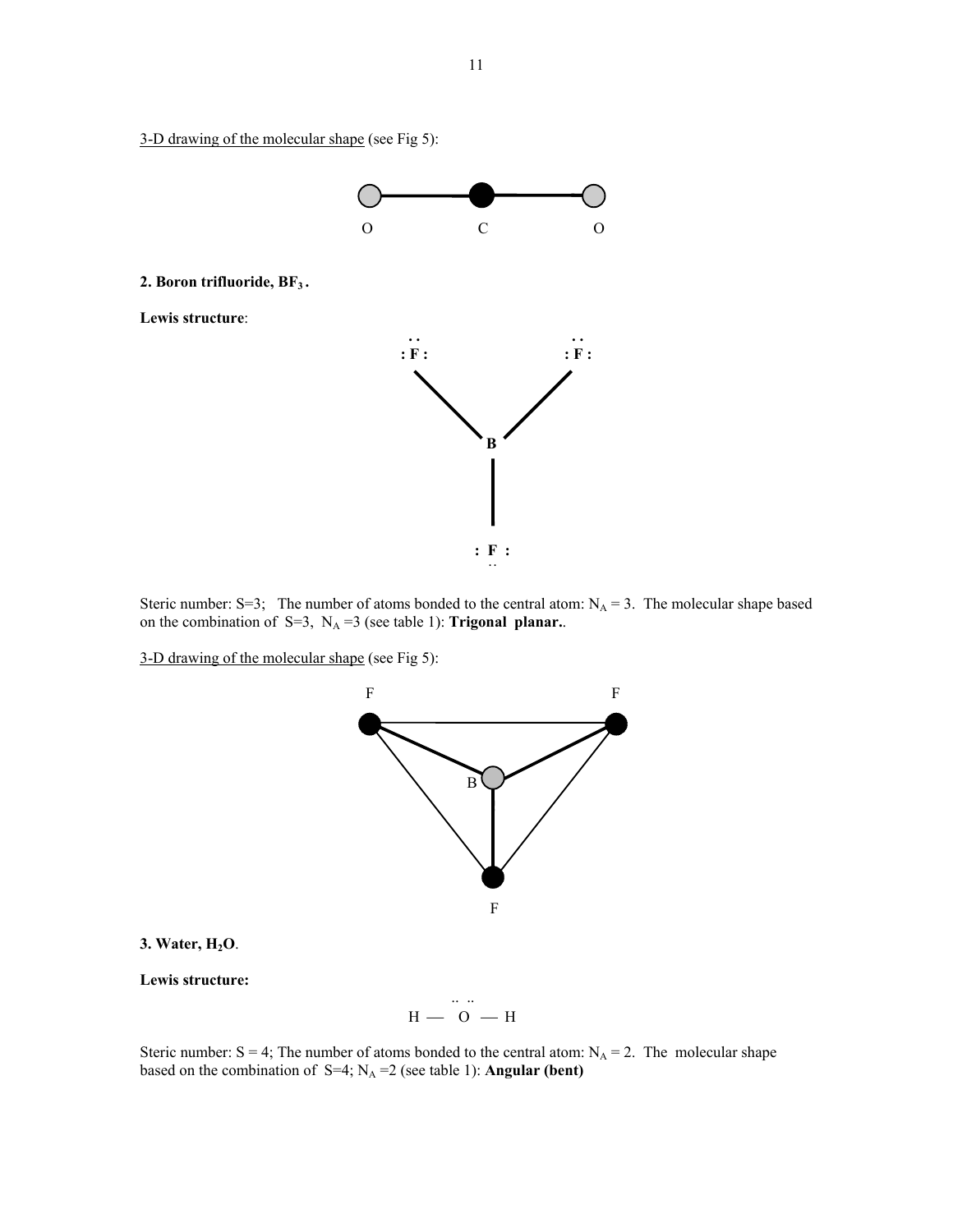3-D drawing of the molecular shape (see Fig 5):

**Lewis structure**:



Steric number: S=3; The number of atoms bonded to the central atom:  $N_A = 3$ . The molecular shape based on the combination of S=3,  $N_A = 3$  (see table 1): **Trigonal planar.**.

3-D drawing of the molecular shape (see Fig 5):



# **3. Water, H2O**.

**Lewis structure:** 

 .. ..  $H - 0 - H$ 

Steric number:  $S = 4$ ; The number of atoms bonded to the central atom:  $N_A = 2$ . The molecular shape based on the combination of  $S=4$ ;  $N_A = 2$  (see table 1): **Angular (bent)**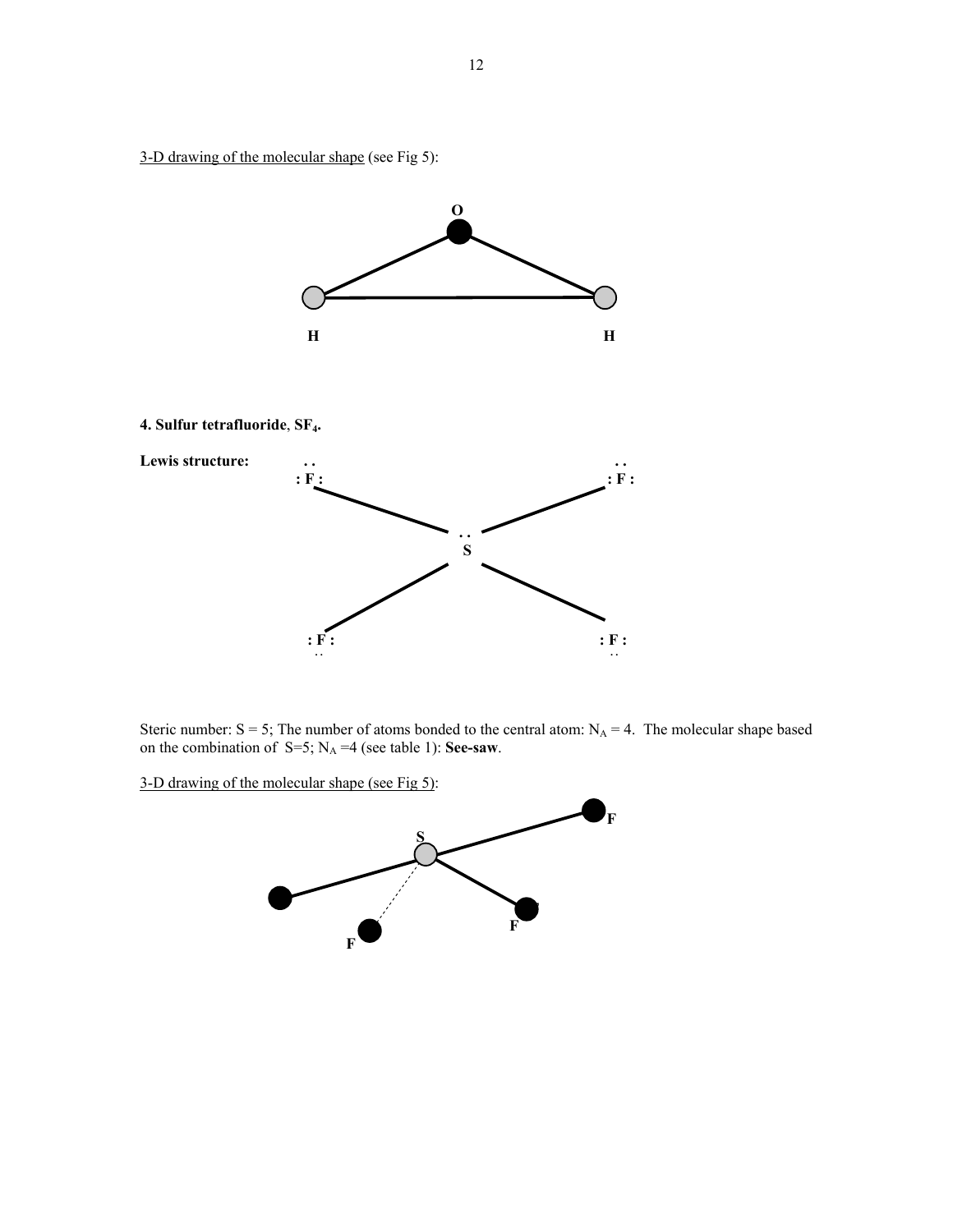3-D drawing of the molecular shape (see Fig 5):



**4. Sulfur tetrafluoride**, **SF4.**



Steric number:  $S = 5$ ; The number of atoms bonded to the central atom:  $N_A = 4$ . The molecular shape based on the combination of  $S=5$ ;  $N_A = 4$  (see table 1): **See-saw**.

3-D drawing of the molecular shape (see Fig 5):

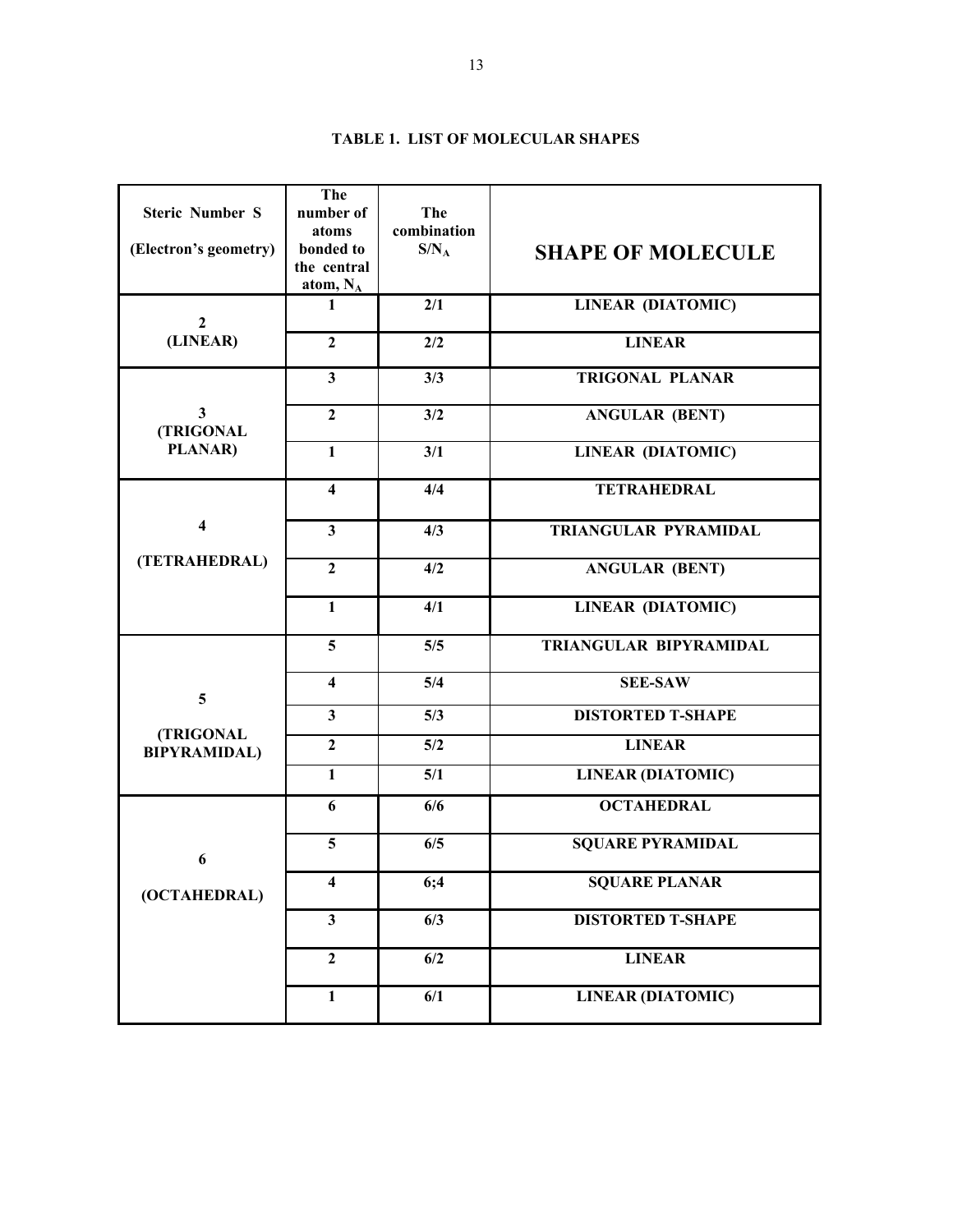| <b>Steric Number S</b>               | The<br>number of                    | The                    |                          |
|--------------------------------------|-------------------------------------|------------------------|--------------------------|
| (Electron's geometry)                | atoms<br>bonded to                  | combination<br>$S/N_A$ | <b>SHAPE OF MOLECULE</b> |
|                                      | the central<br>atom, N <sub>A</sub> |                        |                          |
| $\overline{2}$                       | $\mathbf{1}$                        | 2/1                    | <b>LINEAR (DIATOMIC)</b> |
| (LINEAR)                             | $\overline{2}$                      | 2/2                    | <b>LINEAR</b>            |
|                                      | $\mathbf{3}$                        | 3/3                    | <b>TRIGONAL PLANAR</b>   |
| $\overline{\mathbf{3}}$<br>(TRIGONAL | $\overline{2}$                      | 3/2                    | <b>ANGULAR (BENT)</b>    |
| PLANAR)                              | $\mathbf{1}$                        | 3/1                    | <b>LINEAR (DIATOMIC)</b> |
|                                      | $\overline{\mathbf{4}}$             | 4/4                    | <b>TETRAHEDRAL</b>       |
| $\overline{\mathbf{4}}$              | $\overline{\mathbf{3}}$             | 4/3                    | TRIANGULAR PYRAMIDAL     |
| (TETRAHEDRAL)                        | $\overline{2}$                      | 4/2                    | <b>ANGULAR (BENT)</b>    |
|                                      | $\mathbf{1}$                        | 4/1                    | <b>LINEAR (DIATOMIC)</b> |
|                                      | 5                                   | 5/5                    | TRIANGULAR BIPYRAMIDAL   |
| 5                                    | $\overline{\mathbf{4}}$             | 5/4                    | <b>SEE-SAW</b>           |
|                                      | $\overline{\mathbf{3}}$             | 5/3                    | <b>DISTORTED T-SHAPE</b> |
| (TRIGONAL<br><b>BIPYRAMIDAL)</b>     | $\overline{2}$                      | 5/2                    | <b>LINEAR</b>            |
|                                      | $\mathbf{1}$                        | 5/1                    | <b>LINEAR (DIATOMIC)</b> |
|                                      | 6                                   | 6/6                    | <b>OCTAHEDRAL</b>        |
| 6                                    | 5                                   | 6/5                    | <b>SQUARE PYRAMIDAL</b>  |
| (OCTAHEDRAL)                         | $\overline{\mathbf{4}}$             | 6;4                    | <b>SQUARE PLANAR</b>     |
|                                      | $\overline{\mathbf{3}}$             | $\overline{6/3}$       | <b>DISTORTED T-SHAPE</b> |
|                                      | $\overline{2}$                      | 6/2                    | <b>LINEAR</b>            |
|                                      | $\mathbf{1}$                        | 6/1                    | <b>LINEAR (DIATOMIC)</b> |

# **TABLE 1. LIST OF MOLECULAR SHAPES**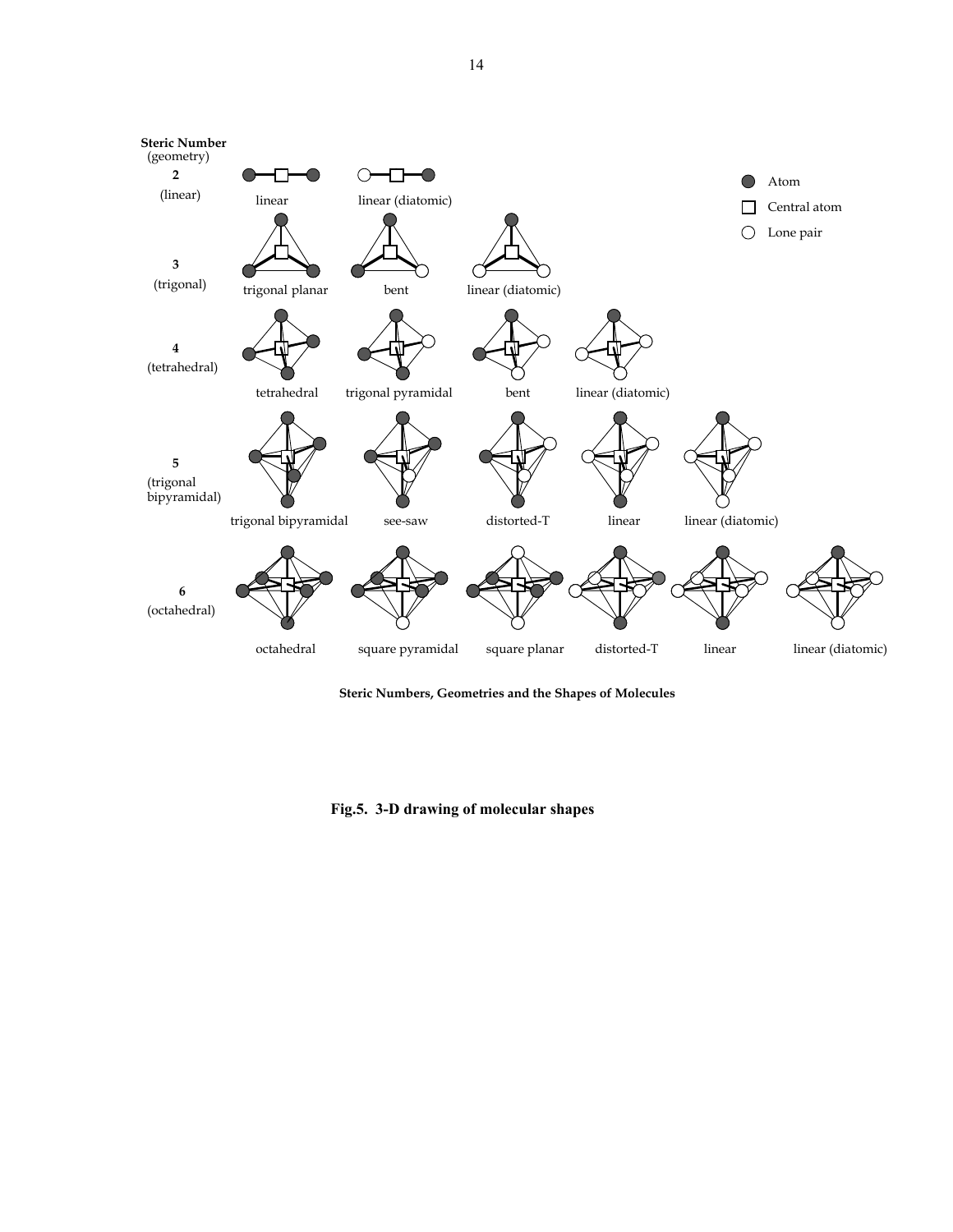

**Steric Numbers, Geometries and the Shapes of Molecules**

**Fig.5. 3-D drawing of molecular shapes**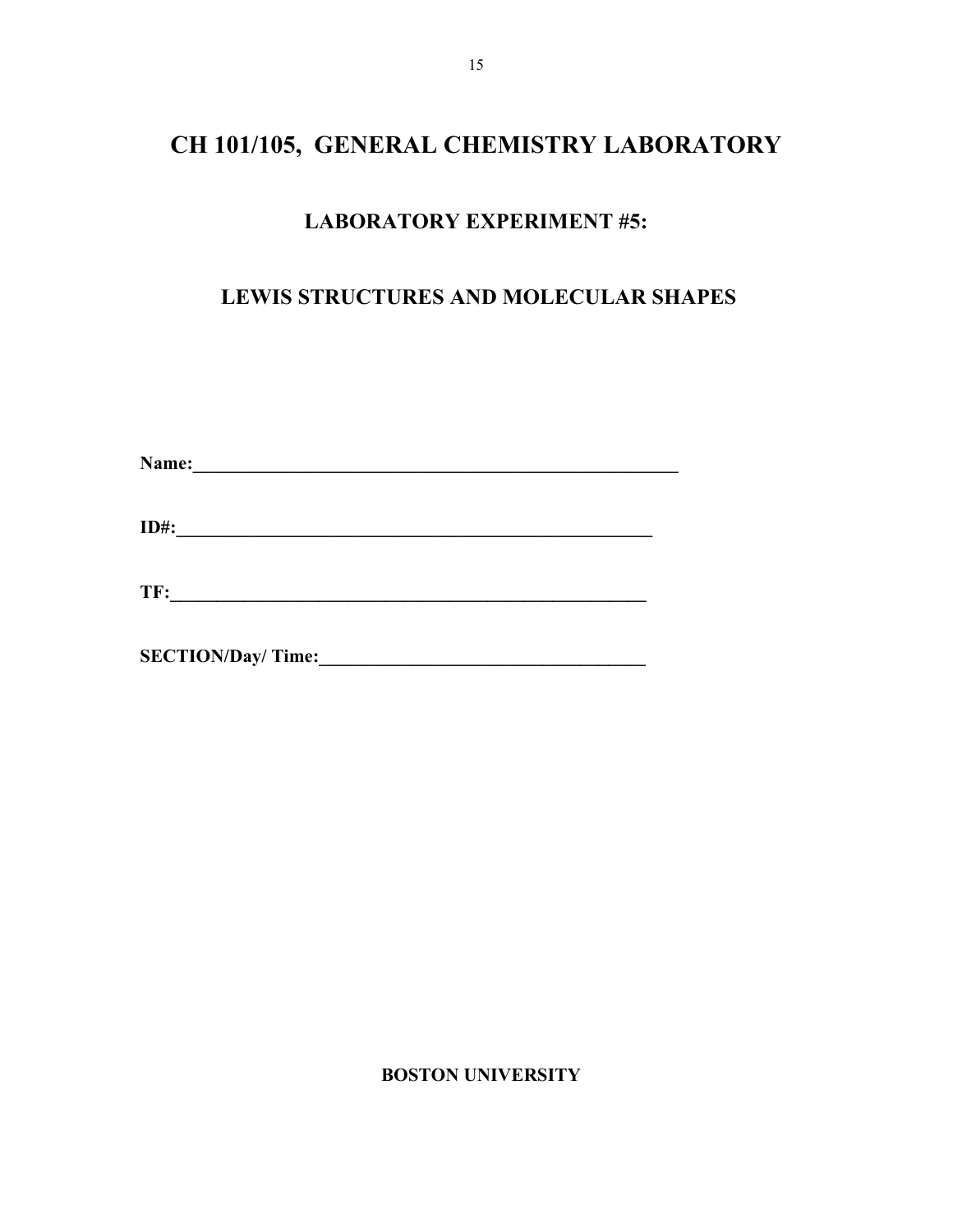# **CH 101/105, GENERAL CHEMISTRY LABORATORY**

# **LABORATORY EXPERIMENT #5:**

# **LEWIS STRUCTURES AND MOLECULAR SHAPES**

| Name: |  |  |  |
|-------|--|--|--|
|       |  |  |  |

**ID#:\_\_\_\_\_\_\_\_\_\_\_\_\_\_\_\_\_\_\_\_\_\_\_\_\_\_\_\_\_\_\_\_\_\_\_\_\_\_\_\_\_\_\_\_\_\_\_\_\_\_\_** 

**SECTION/Day/ Time:\_\_\_\_\_\_\_\_\_\_\_\_\_\_\_\_\_\_\_\_\_\_\_\_\_\_\_\_\_\_\_\_\_\_\_** 

 **BOSTON UNIVERSITY**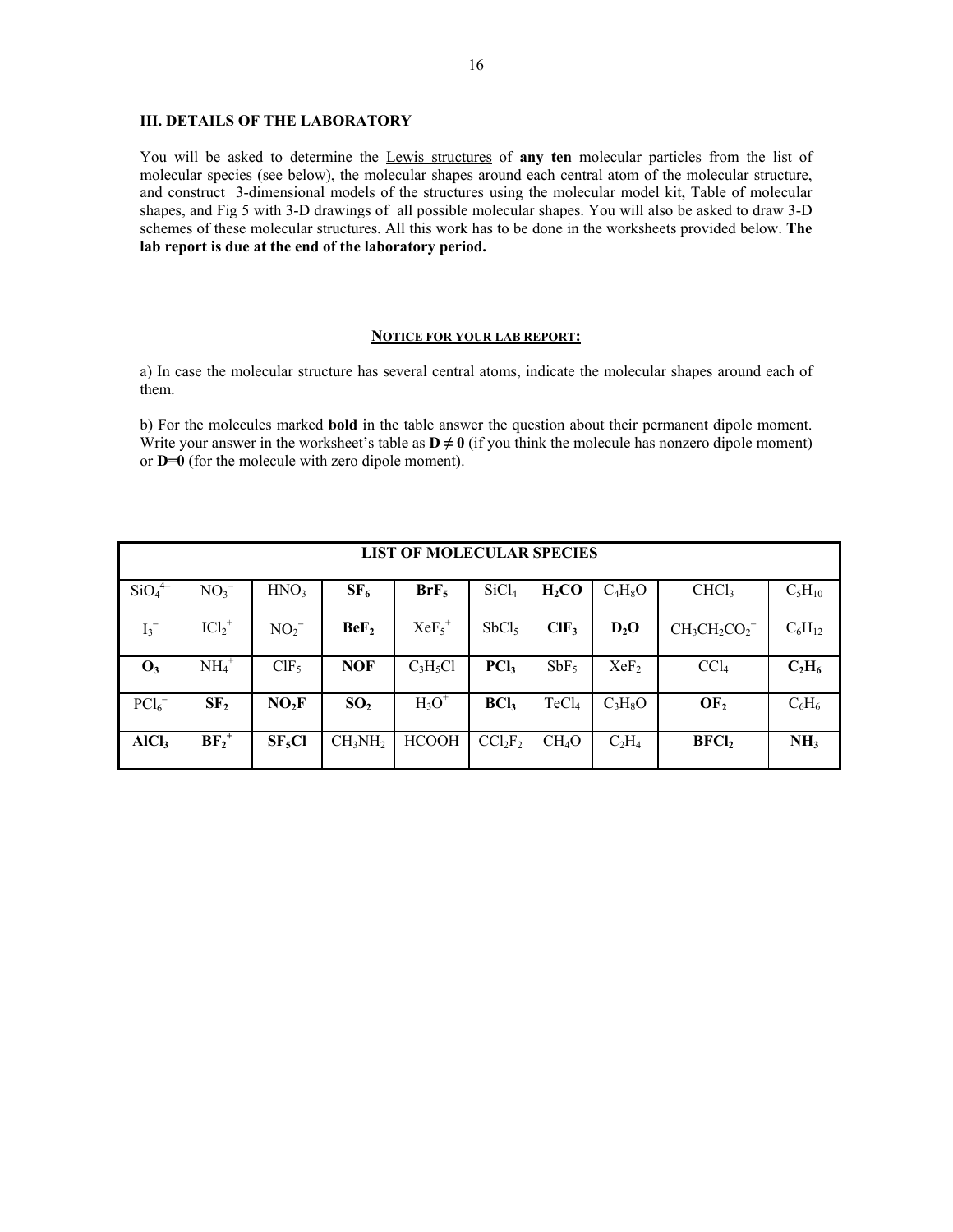# **III. DETAILS OF THE LABORATORY**

You will be asked to determine the Lewis structures of **any ten** molecular particles from the list of molecular species (see below), the molecular shapes around each central atom of the molecular structure, and construct 3-dimensional models of the structures using the molecular model kit, Table of molecular shapes, and Fig 5 with 3-D drawings of all possible molecular shapes. You will also be asked to draw 3-D schemes of these molecular structures. All this work has to be done in the worksheets provided below. **The lab report is due at the end of the laboratory period.** 

#### **NOTICE FOR YOUR LAB REPORT:**

a) In case the molecular structure has several central atoms, indicate the molecular shapes around each of them.

b) For the molecules marked **bold** in the table answer the question about their permanent dipole moment. Write your answer in the worksheet's table as  $D \neq 0$  (if you think the molecule has nonzero dipole moment) or **D=0** (for the molecule with zero dipole moment).

| <b>LIST OF MOLECULAR SPECIES</b> |  |  |  |  |  |
|----------------------------------|--|--|--|--|--|
|                                  |  |  |  |  |  |
| $C_5H_{10}$                      |  |  |  |  |  |
|                                  |  |  |  |  |  |
| $C_6H_{12}$                      |  |  |  |  |  |
|                                  |  |  |  |  |  |
| $C_2H_6$                         |  |  |  |  |  |
|                                  |  |  |  |  |  |
| $C_6H_6$                         |  |  |  |  |  |
|                                  |  |  |  |  |  |
| NH <sub>3</sub>                  |  |  |  |  |  |
|                                  |  |  |  |  |  |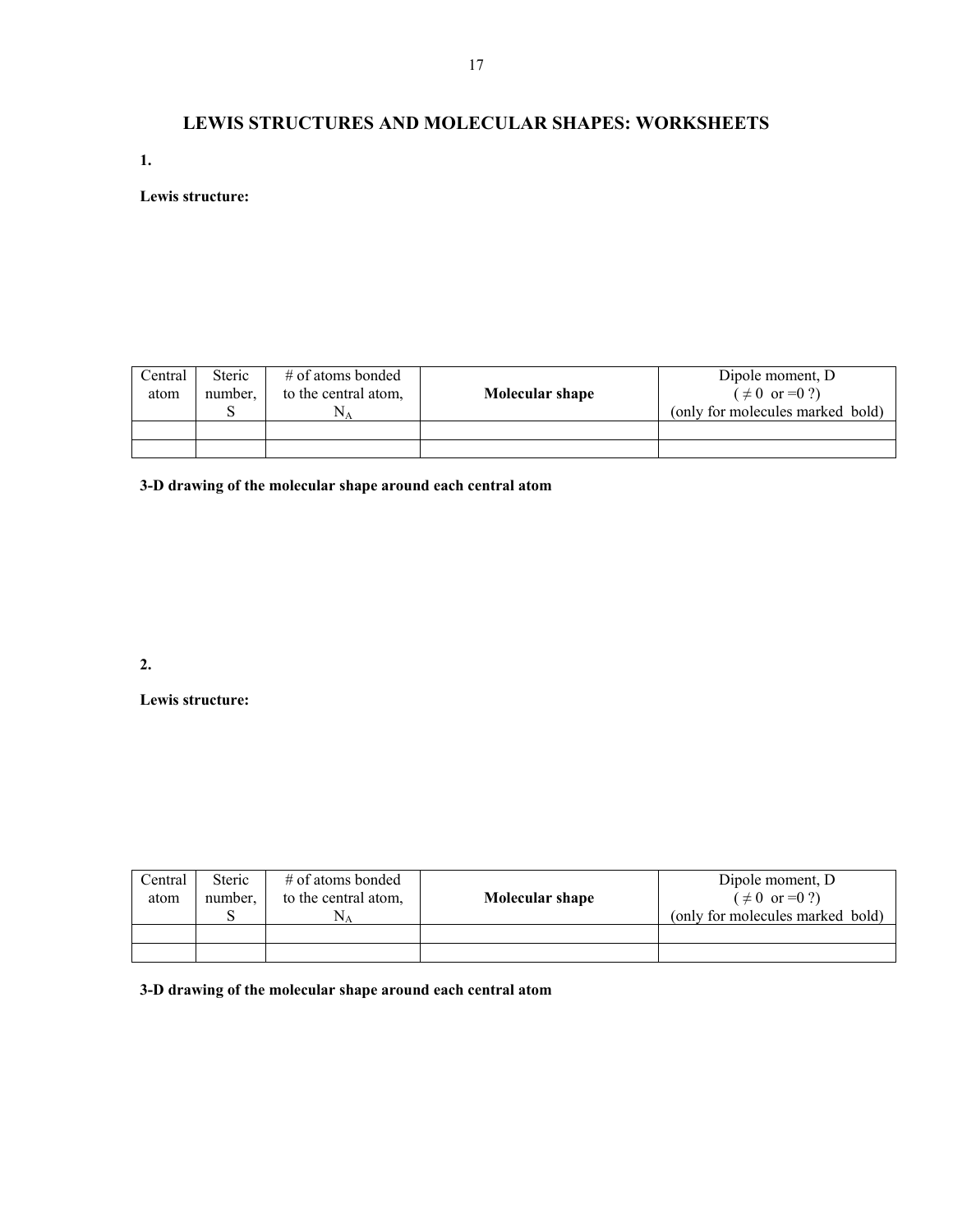# **LEWIS STRUCTURES AND MOLECULAR SHAPES: WORKSHEETS**

**1.** 

**Lewis structure:** 

| Central<br>atom | <b>Steric</b><br>number. | # of atoms bonded<br>to the central atom, | Molecular shape | Dipole moment, D<br>$( \neq 0 \text{ or } = 0 ? )$<br>(only for molecules marked bold) |
|-----------------|--------------------------|-------------------------------------------|-----------------|----------------------------------------------------------------------------------------|
|                 |                          |                                           |                 |                                                                                        |
|                 |                          |                                           |                 |                                                                                        |

**3-D drawing of the molecular shape around each central atom** 

**2.** 

**Lewis structure:** 

| Central<br>atom | <b>Steric</b><br>number. | # of atoms bonded<br>to the central atom,<br>$N_{\rm A}$ | Molecular shape | Dipole moment, D<br>$( \neq 0 \text{ or } = 0 ? )$<br>(only for molecules marked bold) |
|-----------------|--------------------------|----------------------------------------------------------|-----------------|----------------------------------------------------------------------------------------|
|                 |                          |                                                          |                 |                                                                                        |
|                 |                          |                                                          |                 |                                                                                        |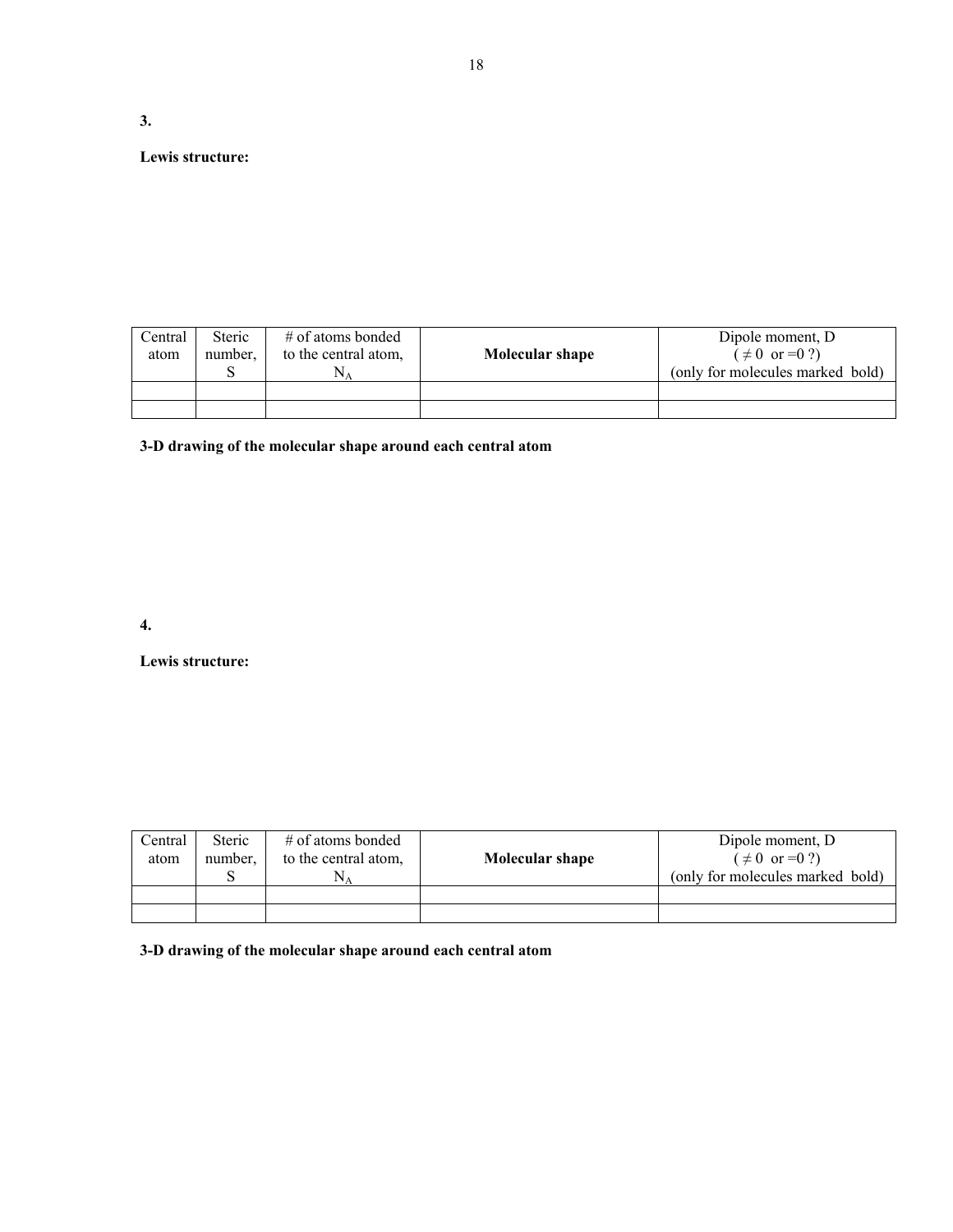# **Lewis structure:**

**3.** 

| Central<br>atom | <b>Steric</b><br>number. | # of atoms bonded<br>to the central atom, | Molecular shape | Dipole moment, D.<br>$( \neq 0 \text{ or } = 0 ?)$<br>(only for molecules marked bold) |
|-----------------|--------------------------|-------------------------------------------|-----------------|----------------------------------------------------------------------------------------|
|                 |                          |                                           |                 |                                                                                        |
|                 |                          |                                           |                 |                                                                                        |

**3-D drawing of the molecular shape around each central atom** 

# **4.**

**Lewis structure:** 

| Central<br>atom | <b>Steric</b><br>number. | # of atoms bonded<br>to the central atom,<br>$N_A$ | Molecular shape | Dipole moment, D.<br>$( \neq 0 \text{ or } = 0 ?)$<br>(only for molecules marked bold) |
|-----------------|--------------------------|----------------------------------------------------|-----------------|----------------------------------------------------------------------------------------|
|                 |                          |                                                    |                 |                                                                                        |
|                 |                          |                                                    |                 |                                                                                        |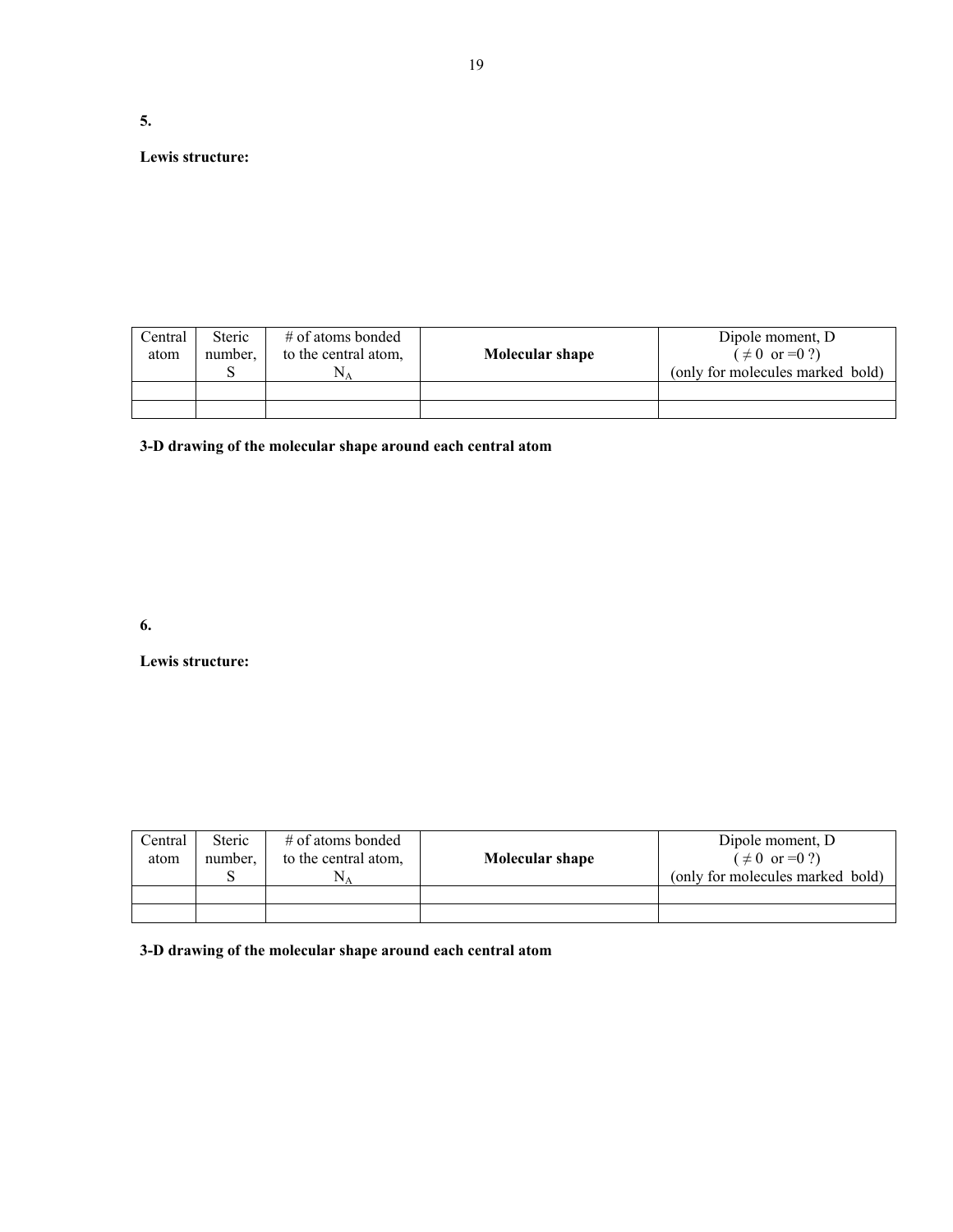**5.** 

# **Lewis structure:**

| Central<br>atom | <b>Steric</b><br>number. | # of atoms bonded<br>to the central atom, | Molecular shape | Dipole moment, D.<br>$( \neq 0 \text{ or } = 0 ?)$<br>(only for molecules marked bold) |
|-----------------|--------------------------|-------------------------------------------|-----------------|----------------------------------------------------------------------------------------|
|                 |                          |                                           |                 |                                                                                        |
|                 |                          |                                           |                 |                                                                                        |

**3-D drawing of the molecular shape around each central atom** 

# **6.**

**Lewis structure:** 

| Central<br>atom | <b>Steric</b><br>number. | $\#$ of atoms bonded<br>to the central atom,<br>$N_A$ | Molecular shape | Dipole moment, D.<br>$(\neq 0 \text{ or } = 0 ?)$<br>(only for molecules marked bold) |
|-----------------|--------------------------|-------------------------------------------------------|-----------------|---------------------------------------------------------------------------------------|
|                 |                          |                                                       |                 |                                                                                       |
|                 |                          |                                                       |                 |                                                                                       |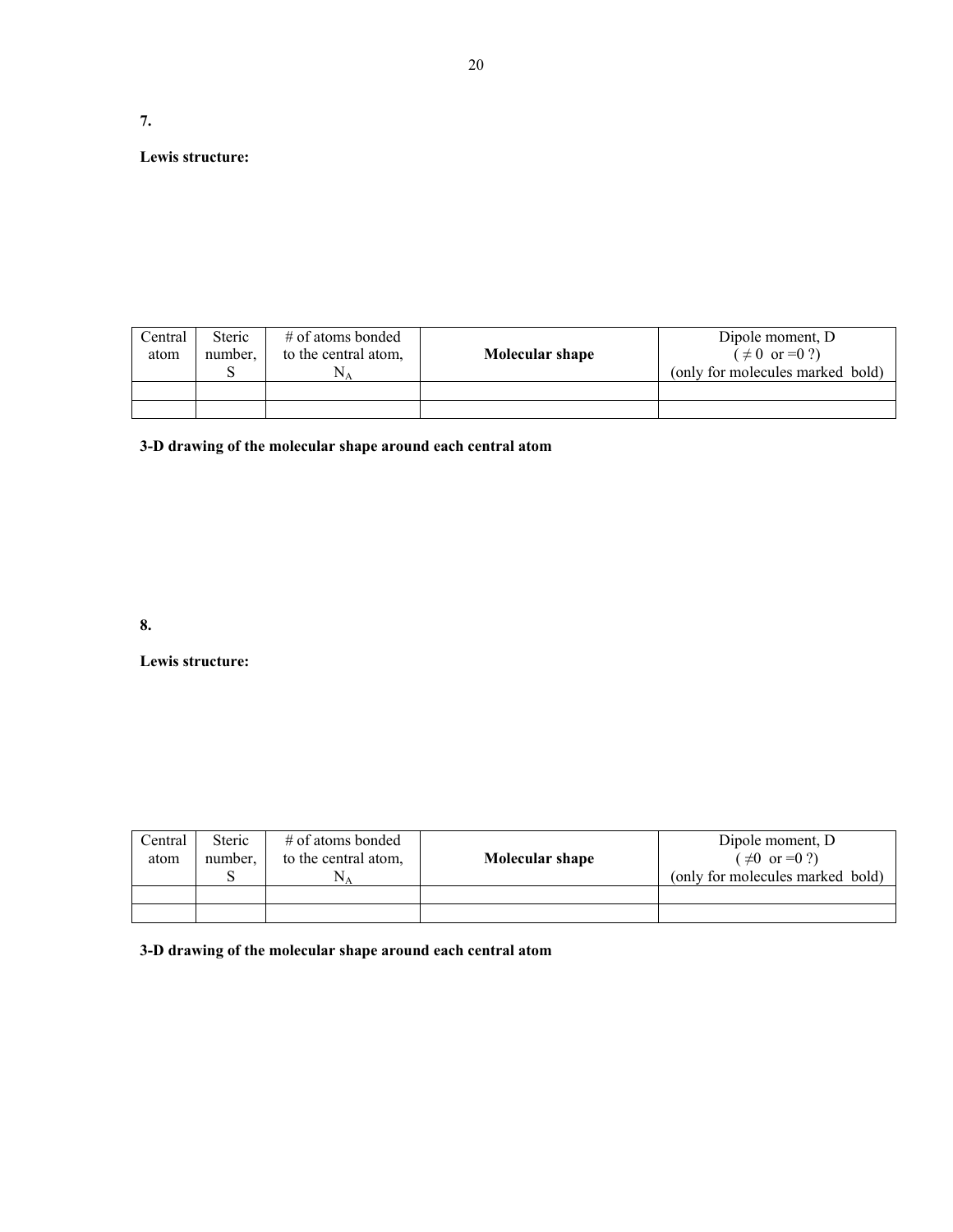# **7.**

# **Lewis structure:**

| Central<br>atom | <b>Steric</b><br>number. | # of atoms bonded<br>to the central atom,<br>N۵ | Molecular shape | Dipole moment, D.<br>$( \neq 0 \text{ or } = 0 ? )$<br>(only for molecules marked bold) |
|-----------------|--------------------------|-------------------------------------------------|-----------------|-----------------------------------------------------------------------------------------|
|                 |                          |                                                 |                 |                                                                                         |
|                 |                          |                                                 |                 |                                                                                         |

**3-D drawing of the molecular shape around each central atom** 

# **8.**

**Lewis structure:** 

| Central<br>atom | <b>Steric</b><br>number. | # of atoms bonded<br>to the central atom,<br>$N_A$ | Molecular shape | Dipole moment, D.<br>$(\neq 0 \text{ or } = 0 ?)$<br>(only for molecules marked bold) |
|-----------------|--------------------------|----------------------------------------------------|-----------------|---------------------------------------------------------------------------------------|
|                 |                          |                                                    |                 |                                                                                       |
|                 |                          |                                                    |                 |                                                                                       |